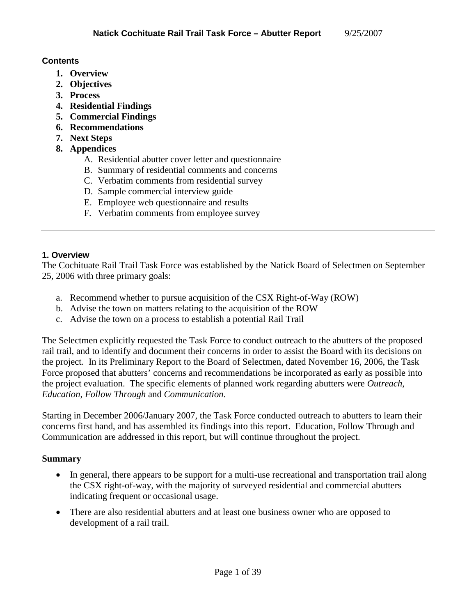#### **Contents**

- **1. Overview**
- **2. Objectives**
- **3. Process**
- **4. Residential Findings**
- **5. Commercial Findings**
- **6. Recommendations**
- **7. Next Steps**
- **8. Appendices** 
	- A. Residential abutter cover letter and questionnaire
	- B. Summary of residential comments and concerns
	- C. Verbatim comments from residential survey
	- D. Sample commercial interview guide
	- E. Employee web questionnaire and results
	- F. Verbatim comments from employee survey

#### **1. Overview**

The Cochituate Rail Trail Task Force was established by the Natick Board of Selectmen on September 25, 2006 with three primary goals:

- a. Recommend whether to pursue acquisition of the CSX Right-of-Way (ROW)
- b. Advise the town on matters relating to the acquisition of the ROW
- c. Advise the town on a process to establish a potential Rail Trail

The Selectmen explicitly requested the Task Force to conduct outreach to the abutters of the proposed rail trail, and to identify and document their concerns in order to assist the Board with its decisions on the project. In its Preliminary Report to the Board of Selectmen, dated November 16, 2006, the Task Force proposed that abutters' concerns and recommendations be incorporated as early as possible into the project evaluation. The specific elements of planned work regarding abutters were *Outreach*, *Education*, *Follow Through* and *Communication*.

Starting in December 2006/January 2007, the Task Force conducted outreach to abutters to learn their concerns first hand, and has assembled its findings into this report. Education, Follow Through and Communication are addressed in this report, but will continue throughout the project.

## **Summary**

- In general, there appears to be support for a multi-use recreational and transportation trail along the CSX right-of-way, with the majority of surveyed residential and commercial abutters indicating frequent or occasional usage.
- There are also residential abutters and at least one business owner who are opposed to development of a rail trail.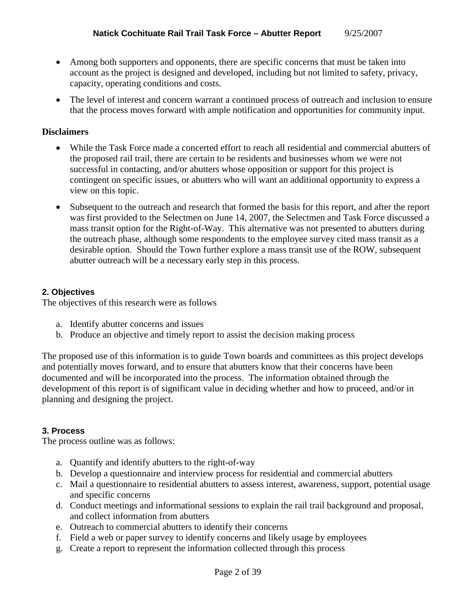- Among both supporters and opponents, there are specific concerns that must be taken into account as the project is designed and developed, including but not limited to safety, privacy, capacity, operating conditions and costs.
- The level of interest and concern warrant a continued process of outreach and inclusion to ensure that the process moves forward with ample notification and opportunities for community input.

## **Disclaimers**

- While the Task Force made a concerted effort to reach all residential and commercial abutters of the proposed rail trail, there are certain to be residents and businesses whom we were not successful in contacting, and/or abutters whose opposition or support for this project is contingent on specific issues, or abutters who will want an additional opportunity to express a view on this topic.
- Subsequent to the outreach and research that formed the basis for this report, and after the report was first provided to the Selectmen on June 14, 2007, the Selectmen and Task Force discussed a mass transit option for the Right-of-Way. This alternative was not presented to abutters during the outreach phase, although some respondents to the employee survey cited mass transit as a desirable option. Should the Town further explore a mass transit use of the ROW, subsequent abutter outreach will be a necessary early step in this process.

## **2. Objectives**

The objectives of this research were as follows

- a. Identify abutter concerns and issues
- b. Produce an objective and timely report to assist the decision making process

The proposed use of this information is to guide Town boards and committees as this project develops and potentially moves forward, and to ensure that abutters know that their concerns have been documented and will be incorporated into the process. The information obtained through the development of this report is of significant value in deciding whether and how to proceed, and/or in planning and designing the project.

#### **3. Process**

The process outline was as follows:

- a. Quantify and identify abutters to the right-of-way
- b. Develop a questionnaire and interview process for residential and commercial abutters
- c. Mail a questionnaire to residential abutters to assess interest, awareness, support, potential usage and specific concerns
- d. Conduct meetings and informational sessions to explain the rail trail background and proposal, and collect information from abutters
- e. Outreach to commercial abutters to identify their concerns
- f. Field a web or paper survey to identify concerns and likely usage by employees
- g. Create a report to represent the information collected through this process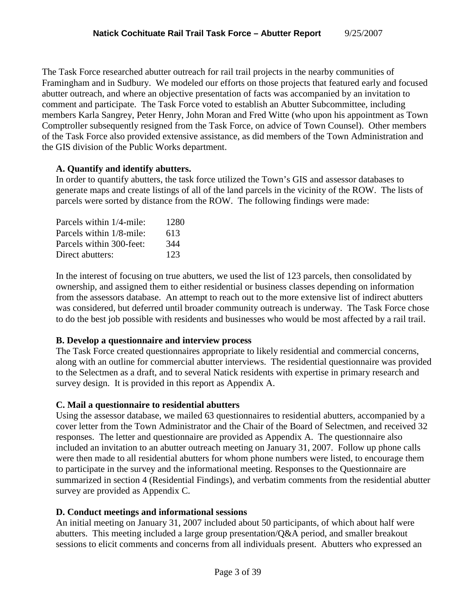The Task Force researched abutter outreach for rail trail projects in the nearby communities of Framingham and in Sudbury. We modeled our efforts on those projects that featured early and focused abutter outreach, and where an objective presentation of facts was accompanied by an invitation to comment and participate. The Task Force voted to establish an Abutter Subcommittee, including members Karla Sangrey, Peter Henry, John Moran and Fred Witte (who upon his appointment as Town Comptroller subsequently resigned from the Task Force, on advice of Town Counsel). Other members of the Task Force also provided extensive assistance, as did members of the Town Administration and the GIS division of the Public Works department.

## **A. Quantify and identify abutters.**

In order to quantify abutters, the task force utilized the Town's GIS and assessor databases to generate maps and create listings of all of the land parcels in the vicinity of the ROW. The lists of parcels were sorted by distance from the ROW. The following findings were made:

| Parcels within 1/4-mile: | 1280 |
|--------------------------|------|
| Parcels within 1/8-mile: | 613  |
| Parcels within 300-feet: | 344  |
| Direct abutters:         | 123  |
|                          |      |

In the interest of focusing on true abutters, we used the list of 123 parcels, then consolidated by ownership, and assigned them to either residential or business classes depending on information from the assessors database. An attempt to reach out to the more extensive list of indirect abutters was considered, but deferred until broader community outreach is underway. The Task Force chose to do the best job possible with residents and businesses who would be most affected by a rail trail.

## **B. Develop a questionnaire and interview process**

The Task Force created questionnaires appropriate to likely residential and commercial concerns, along with an outline for commercial abutter interviews. The residential questionnaire was provided to the Selectmen as a draft, and to several Natick residents with expertise in primary research and survey design. It is provided in this report as Appendix A.

## **C. Mail a questionnaire to residential abutters**

Using the assessor database, we mailed 63 questionnaires to residential abutters, accompanied by a cover letter from the Town Administrator and the Chair of the Board of Selectmen, and received 32 responses. The letter and questionnaire are provided as Appendix A. The questionnaire also included an invitation to an abutter outreach meeting on January 31, 2007. Follow up phone calls were then made to all residential abutters for whom phone numbers were listed, to encourage them to participate in the survey and the informational meeting. Responses to the Questionnaire are summarized in section 4 (Residential Findings), and verbatim comments from the residential abutter survey are provided as Appendix C.

## **D. Conduct meetings and informational sessions**

An initial meeting on January 31, 2007 included about 50 participants, of which about half were abutters. This meeting included a large group presentation/Q&A period, and smaller breakout sessions to elicit comments and concerns from all individuals present. Abutters who expressed an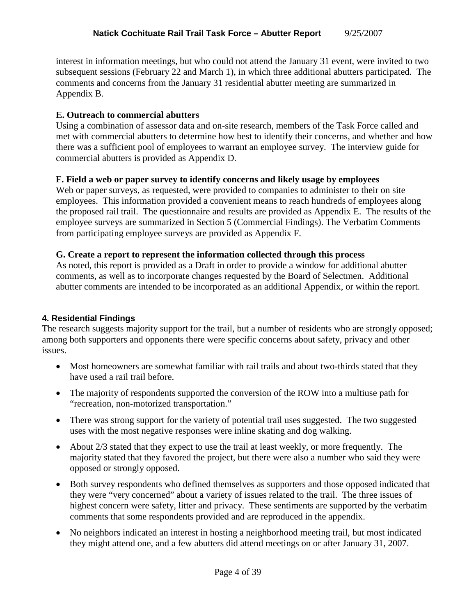interest in information meetings, but who could not attend the January 31 event, were invited to two subsequent sessions (February 22 and March 1), in which three additional abutters participated. The comments and concerns from the January 31 residential abutter meeting are summarized in Appendix B.

## **E. Outreach to commercial abutters**

Using a combination of assessor data and on-site research, members of the Task Force called and met with commercial abutters to determine how best to identify their concerns, and whether and how there was a sufficient pool of employees to warrant an employee survey. The interview guide for commercial abutters is provided as Appendix D.

## **F. Field a web or paper survey to identify concerns and likely usage by employees**

Web or paper surveys, as requested, were provided to companies to administer to their on site employees. This information provided a convenient means to reach hundreds of employees along the proposed rail trail. The questionnaire and results are provided as Appendix E. The results of the employee surveys are summarized in Section 5 (Commercial Findings). The Verbatim Comments from participating employee surveys are provided as Appendix F.

## **G. Create a report to represent the information collected through this process**

As noted, this report is provided as a Draft in order to provide a window for additional abutter comments, as well as to incorporate changes requested by the Board of Selectmen. Additional abutter comments are intended to be incorporated as an additional Appendix, or within the report.

## **4. Residential Findings**

The research suggests majority support for the trail, but a number of residents who are strongly opposed; among both supporters and opponents there were specific concerns about safety, privacy and other issues.

- Most homeowners are somewhat familiar with rail trails and about two-thirds stated that they have used a rail trail before.
- The majority of respondents supported the conversion of the ROW into a multiuse path for "recreation, non-motorized transportation."
- There was strong support for the variety of potential trail uses suggested. The two suggested uses with the most negative responses were inline skating and dog walking.
- About 2/3 stated that they expect to use the trail at least weekly, or more frequently. The majority stated that they favored the project, but there were also a number who said they were opposed or strongly opposed.
- Both survey respondents who defined themselves as supporters and those opposed indicated that they were "very concerned" about a variety of issues related to the trail. The three issues of highest concern were safety, litter and privacy. These sentiments are supported by the verbatim comments that some respondents provided and are reproduced in the appendix.
- No neighbors indicated an interest in hosting a neighborhood meeting trail, but most indicated they might attend one, and a few abutters did attend meetings on or after January 31, 2007.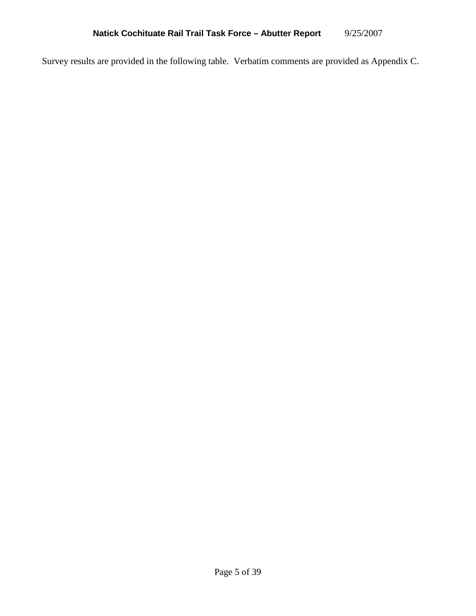Survey results are provided in the following table. Verbatim comments are provided as Appendix C.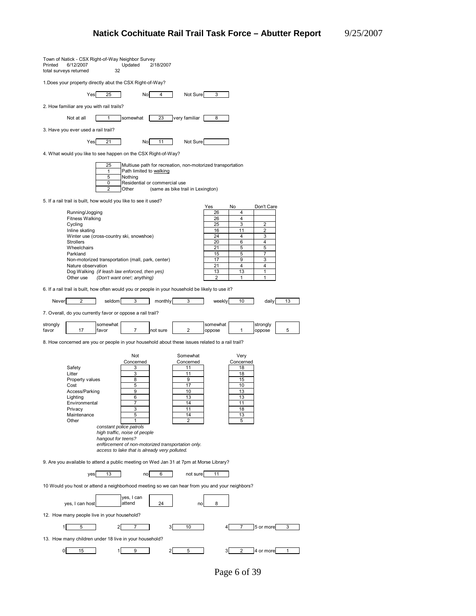| Printed<br>total surveys returned | 6/12/2007                                                                                                                                                | Town of Natick - CSX Right-of-Way Neighbor Survey<br>Updated<br>32                                                                                                            | 2/18/2007                                                          |                                                                                                                                      |                                                                     |                                                                              |                                                |    |
|-----------------------------------|----------------------------------------------------------------------------------------------------------------------------------------------------------|-------------------------------------------------------------------------------------------------------------------------------------------------------------------------------|--------------------------------------------------------------------|--------------------------------------------------------------------------------------------------------------------------------------|---------------------------------------------------------------------|------------------------------------------------------------------------------|------------------------------------------------|----|
|                                   |                                                                                                                                                          | 1. Does your property directly abut the CSX Right-of-Way?                                                                                                                     |                                                                    |                                                                                                                                      |                                                                     |                                                                              |                                                |    |
|                                   | Yes                                                                                                                                                      | 25                                                                                                                                                                            | No<br>4                                                            | Not Sure                                                                                                                             | 3                                                                   |                                                                              |                                                |    |
|                                   | 2. How familiar are you with rail trails?                                                                                                                |                                                                                                                                                                               |                                                                    |                                                                                                                                      |                                                                     |                                                                              |                                                |    |
|                                   | Not at all                                                                                                                                               | 1                                                                                                                                                                             | 23<br>somewhat                                                     | very familiar                                                                                                                        | 8                                                                   |                                                                              |                                                |    |
|                                   | 3. Have you ever used a rail trail?                                                                                                                      |                                                                                                                                                                               |                                                                    |                                                                                                                                      |                                                                     |                                                                              |                                                |    |
|                                   | Yes                                                                                                                                                      | 21                                                                                                                                                                            | No<br>11                                                           | Not Sure                                                                                                                             |                                                                     |                                                                              |                                                |    |
|                                   |                                                                                                                                                          | 4. What would you like to see happen on the CSX Right-of-Way?                                                                                                                 |                                                                    |                                                                                                                                      |                                                                     |                                                                              |                                                |    |
|                                   |                                                                                                                                                          | 25<br>1<br>5<br>Nothing<br>0<br>2<br>Other                                                                                                                                    | Path limited to walking<br>Residential or commercial use           | Multiuse path for recreation, non-motorized transportation<br>(same as bike trail in Lexington)                                      |                                                                     |                                                                              |                                                |    |
|                                   |                                                                                                                                                          | 5. If a rail trail is built, how would you like to see it used?                                                                                                               |                                                                    |                                                                                                                                      | Yes                                                                 | No                                                                           | Don't Care                                     |    |
|                                   | Running/Jogging<br><b>Fitness Walking</b><br>Cycling<br>Inline skating<br><b>Strollers</b><br>Wheelchairs<br>Parkland<br>Nature observation<br>Other use | Winter use (cross-country ski, snowshoe)<br>Non-motorized transportation (mall, park, center)<br>Dog Walking (if leash law enforced, then yes)<br>(Don't want one!; anything) |                                                                    |                                                                                                                                      | 26<br>26<br>25<br>16<br>24<br>20<br>21<br>15<br>17<br>21<br>13<br>2 | 4<br>4<br>3<br>11<br>4<br>6<br>5<br>5<br>9<br>4<br>13<br>1                   | 2<br>2<br>3<br>4<br>5<br>7<br>3<br>4<br>1<br>1 |    |
|                                   |                                                                                                                                                          |                                                                                                                                                                               |                                                                    | 6. If a rail trail is built, how often would you or people in your household be likely to use it?                                    |                                                                     |                                                                              |                                                |    |
| Never                             | $\overline{2}$                                                                                                                                           | seldom                                                                                                                                                                        | 3<br>monthly                                                       | 3                                                                                                                                    | weekly                                                              | 10                                                                           | daily                                          | 13 |
|                                   |                                                                                                                                                          | 7. Overall, do you currently favor or oppose a rail trail?                                                                                                                    |                                                                    |                                                                                                                                      |                                                                     |                                                                              |                                                |    |
|                                   |                                                                                                                                                          |                                                                                                                                                                               |                                                                    |                                                                                                                                      |                                                                     |                                                                              |                                                |    |
| strongly<br>favor                 | 17                                                                                                                                                       | somewhat<br>favor                                                                                                                                                             | $\overline{7}$<br>not sure                                         | $\overline{\mathbf{c}}$                                                                                                              | somewhat<br>oppose                                                  | 1                                                                            | strongly<br>oppose                             | 5  |
|                                   |                                                                                                                                                          |                                                                                                                                                                               |                                                                    | 8. How concerned are you or people in your household about these issues related to a rail trail?                                     |                                                                     |                                                                              |                                                |    |
|                                   | Safety<br>Litter<br>Property values<br>Cost<br>Access/Parking<br>Lighting<br>Environmental<br>Privacy<br>Maintenance<br>Other                            | constant police patrols<br>high traffic, noise of people<br>hangout for teens?<br>access to lake that is already very polluted.                                               | Not<br>Concerned<br>3<br>3<br>8<br>5<br>9<br>6<br>7<br>3<br>5<br>1 | Somewhat<br>Concerned<br>11<br>11<br>9<br>17<br>10<br>13<br>14<br>11<br>14<br>2<br>enf6rcement of non-motorized transportation only. |                                                                     | Very<br>Concerned<br>18<br>18<br>15<br>10<br>13<br>13<br>11<br>18<br>13<br>5 |                                                |    |
|                                   |                                                                                                                                                          |                                                                                                                                                                               |                                                                    | 9. Are you available to attend a public meeting on Wed Jan 31 at 7pm at Morse Library?                                               |                                                                     |                                                                              |                                                |    |
|                                   | ves                                                                                                                                                      | 13                                                                                                                                                                            | 6<br>no                                                            | not sure                                                                                                                             | 11                                                                  |                                                                              |                                                |    |
|                                   |                                                                                                                                                          |                                                                                                                                                                               |                                                                    | 10 Would you host or attend a neighborhood meeting so we can hear from you and your neighbors?                                       |                                                                     |                                                                              |                                                |    |
|                                   | yes, I can host                                                                                                                                          | attend                                                                                                                                                                        | yes, I can<br>24                                                   | no                                                                                                                                   | 8                                                                   |                                                                              |                                                |    |
|                                   |                                                                                                                                                          | 12. How many people live in your household?                                                                                                                                   |                                                                    |                                                                                                                                      |                                                                     |                                                                              |                                                |    |
| $\mathbf{1}$                      | 5                                                                                                                                                        | $\overline{2}$                                                                                                                                                                | 7                                                                  | 3<br>10                                                                                                                              | 4                                                                   | 7                                                                            | 5 or more                                      | 3  |
| 0                                 | 15                                                                                                                                                       | 13. How many children under 18 live in your household?<br>1                                                                                                                   |                                                                    | $\mathbf{2}$                                                                                                                         | 3                                                                   |                                                                              | 4 or more                                      |    |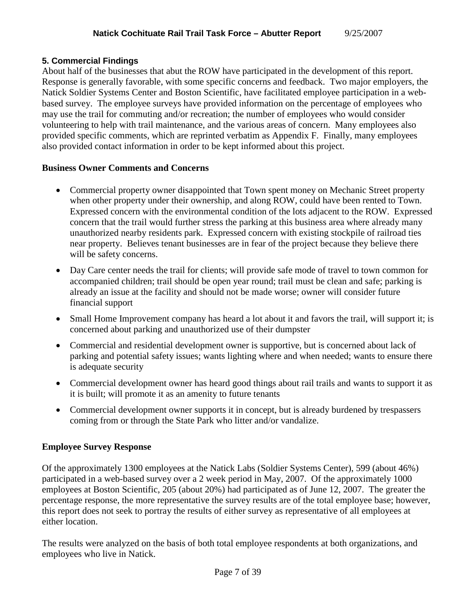## **5. Commercial Findings**

About half of the businesses that abut the ROW have participated in the development of this report. Response is generally favorable, with some specific concerns and feedback. Two major employers, the Natick Soldier Systems Center and Boston Scientific, have facilitated employee participation in a webbased survey. The employee surveys have provided information on the percentage of employees who may use the trail for commuting and/or recreation; the number of employees who would consider volunteering to help with trail maintenance, and the various areas of concern. Many employees also provided specific comments, which are reprinted verbatim as Appendix F. Finally, many employees also provided contact information in order to be kept informed about this project.

#### **Business Owner Comments and Concerns**

- Commercial property owner disappointed that Town spent money on Mechanic Street property when other property under their ownership, and along ROW, could have been rented to Town. Expressed concern with the environmental condition of the lots adjacent to the ROW. Expressed concern that the trail would further stress the parking at this business area where already many unauthorized nearby residents park. Expressed concern with existing stockpile of railroad ties near property. Believes tenant businesses are in fear of the project because they believe there will be safety concerns.
- Day Care center needs the trail for clients; will provide safe mode of travel to town common for accompanied children; trail should be open year round; trail must be clean and safe; parking is already an issue at the facility and should not be made worse; owner will consider future financial support
- Small Home Improvement company has heard a lot about it and favors the trail, will support it; is concerned about parking and unauthorized use of their dumpster
- Commercial and residential development owner is supportive, but is concerned about lack of parking and potential safety issues; wants lighting where and when needed; wants to ensure there is adequate security
- Commercial development owner has heard good things about rail trails and wants to support it as it is built; will promote it as an amenity to future tenants
- Commercial development owner supports it in concept, but is already burdened by trespassers coming from or through the State Park who litter and/or vandalize.

## **Employee Survey Response**

Of the approximately 1300 employees at the Natick Labs (Soldier Systems Center), 599 (about 46%) participated in a web-based survey over a 2 week period in May, 2007. Of the approximately 1000 employees at Boston Scientific, 205 (about 20%) had participated as of June 12, 2007. The greater the percentage response, the more representative the survey results are of the total employee base; however, this report does not seek to portray the results of either survey as representative of all employees at either location.

The results were analyzed on the basis of both total employee respondents at both organizations, and employees who live in Natick.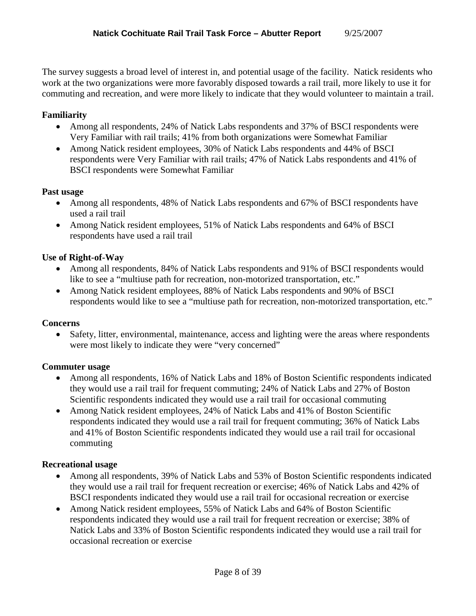The survey suggests a broad level of interest in, and potential usage of the facility. Natick residents who work at the two organizations were more favorably disposed towards a rail trail, more likely to use it for commuting and recreation, and were more likely to indicate that they would volunteer to maintain a trail.

## **Familiarity**

- Among all respondents, 24% of Natick Labs respondents and 37% of BSCI respondents were Very Familiar with rail trails; 41% from both organizations were Somewhat Familiar
- Among Natick resident employees, 30% of Natick Labs respondents and 44% of BSCI respondents were Very Familiar with rail trails; 47% of Natick Labs respondents and 41% of BSCI respondents were Somewhat Familiar

#### **Past usage**

- Among all respondents, 48% of Natick Labs respondents and 67% of BSCI respondents have used a rail trail
- Among Natick resident employees, 51% of Natick Labs respondents and 64% of BSCI respondents have used a rail trail

#### **Use of Right-of-Way**

- Among all respondents, 84% of Natick Labs respondents and 91% of BSCI respondents would like to see a "multiuse path for recreation, non-motorized transportation, etc."
- Among Natick resident employees, 88% of Natick Labs respondents and 90% of BSCI respondents would like to see a "multiuse path for recreation, non-motorized transportation, etc."

#### **Concerns**

• Safety, litter, environmental, maintenance, access and lighting were the areas where respondents were most likely to indicate they were "very concerned"

#### **Commuter usage**

- Among all respondents, 16% of Natick Labs and 18% of Boston Scientific respondents indicated they would use a rail trail for frequent commuting; 24% of Natick Labs and 27% of Boston Scientific respondents indicated they would use a rail trail for occasional commuting
- Among Natick resident employees, 24% of Natick Labs and 41% of Boston Scientific respondents indicated they would use a rail trail for frequent commuting; 36% of Natick Labs and 41% of Boston Scientific respondents indicated they would use a rail trail for occasional commuting

#### **Recreational usage**

- Among all respondents, 39% of Natick Labs and 53% of Boston Scientific respondents indicated they would use a rail trail for frequent recreation or exercise; 46% of Natick Labs and 42% of BSCI respondents indicated they would use a rail trail for occasional recreation or exercise
- Among Natick resident employees, 55% of Natick Labs and 64% of Boston Scientific respondents indicated they would use a rail trail for frequent recreation or exercise; 38% of Natick Labs and 33% of Boston Scientific respondents indicated they would use a rail trail for occasional recreation or exercise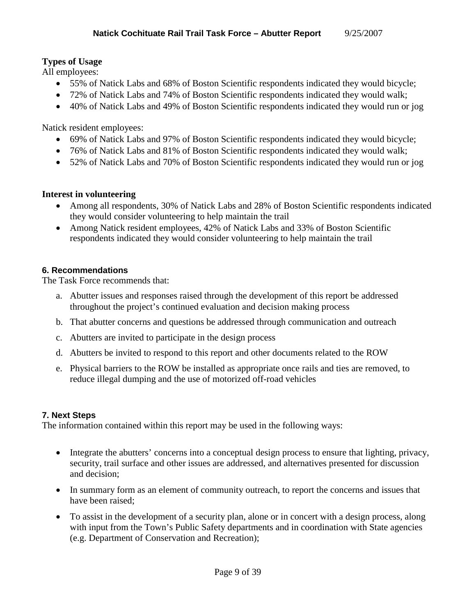## **Types of Usage**

All employees:

- 55% of Natick Labs and 68% of Boston Scientific respondents indicated they would bicycle;
- 72% of Natick Labs and 74% of Boston Scientific respondents indicated they would walk;
- 40% of Natick Labs and 49% of Boston Scientific respondents indicated they would run or jog

Natick resident employees:

- 69% of Natick Labs and 97% of Boston Scientific respondents indicated they would bicycle;
- 76% of Natick Labs and 81% of Boston Scientific respondents indicated they would walk;
- 52% of Natick Labs and 70% of Boston Scientific respondents indicated they would run or jog

## **Interest in volunteering**

- Among all respondents, 30% of Natick Labs and 28% of Boston Scientific respondents indicated they would consider volunteering to help maintain the trail
- Among Natick resident employees, 42% of Natick Labs and 33% of Boston Scientific respondents indicated they would consider volunteering to help maintain the trail

## **6. Recommendations**

The Task Force recommends that:

- a. Abutter issues and responses raised through the development of this report be addressed throughout the project's continued evaluation and decision making process
- b. That abutter concerns and questions be addressed through communication and outreach
- c. Abutters are invited to participate in the design process
- d. Abutters be invited to respond to this report and other documents related to the ROW
- e. Physical barriers to the ROW be installed as appropriate once rails and ties are removed, to reduce illegal dumping and the use of motorized off-road vehicles

## **7. Next Steps**

The information contained within this report may be used in the following ways:

- Integrate the abutters' concerns into a conceptual design process to ensure that lighting, privacy, security, trail surface and other issues are addressed, and alternatives presented for discussion and decision;
- In summary form as an element of community outreach, to report the concerns and issues that have been raised;
- To assist in the development of a security plan, alone or in concert with a design process, along with input from the Town's Public Safety departments and in coordination with State agencies (e.g. Department of Conservation and Recreation);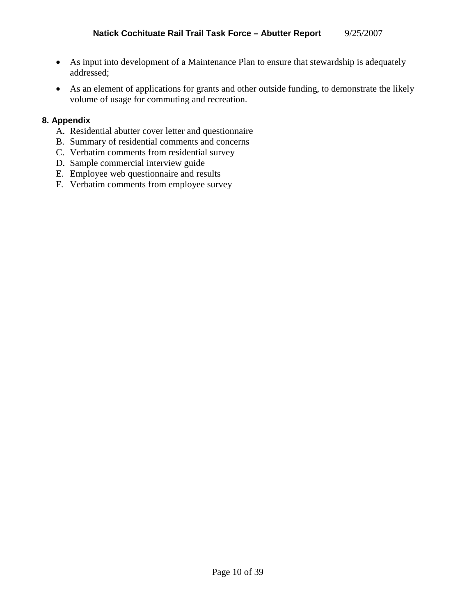- As input into development of a Maintenance Plan to ensure that stewardship is adequately addressed;
- As an element of applications for grants and other outside funding, to demonstrate the likely volume of usage for commuting and recreation.

## **8. Appendix**

- A. Residential abutter cover letter and questionnaire
- B. Summary of residential comments and concerns
- C. Verbatim comments from residential survey
- D. Sample commercial interview guide
- E. Employee web questionnaire and results
- F. Verbatim comments from employee survey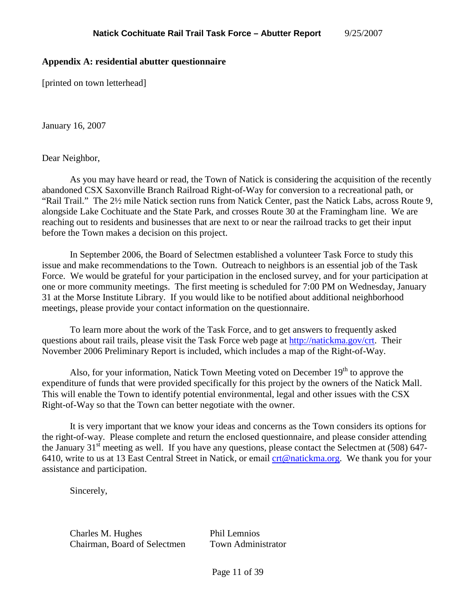#### **Appendix A: residential abutter questionnaire**

[printed on town letterhead]

January 16, 2007

Dear Neighbor,

As you may have heard or read, the Town of Natick is considering the acquisition of the recently abandoned CSX Saxonville Branch Railroad Right-of-Way for conversion to a recreational path, or "Rail Trail." The 2½ mile Natick section runs from Natick Center, past the Natick Labs, across Route 9, alongside Lake Cochituate and the State Park, and crosses Route 30 at the Framingham line. We are reaching out to residents and businesses that are next to or near the railroad tracks to get their input before the Town makes a decision on this project.

In September 2006, the Board of Selectmen established a volunteer Task Force to study this issue and make recommendations to the Town. Outreach to neighbors is an essential job of the Task Force. We would be grateful for your participation in the enclosed survey, and for your participation at one or more community meetings. The first meeting is scheduled for 7:00 PM on Wednesday, January 31 at the Morse Institute Library. If you would like to be notified about additional neighborhood meetings, please provide your contact information on the questionnaire.

To learn more about the work of the Task Force, and to get answers to frequently asked questions about rail trails, please visit the Task Force web page at http://natickma.gov/crt. Their November 2006 Preliminary Report is included, which includes a map of the Right-of-Way.

Also, for your information, Natick Town Meeting voted on December  $19<sup>th</sup>$  to approve the expenditure of funds that were provided specifically for this project by the owners of the Natick Mall. This will enable the Town to identify potential environmental, legal and other issues with the CSX Right-of-Way so that the Town can better negotiate with the owner.

It is very important that we know your ideas and concerns as the Town considers its options for the right-of-way. Please complete and return the enclosed questionnaire, and please consider attending the January 31<sup>st</sup> meeting as well. If you have any questions, please contact the Selectmen at (508) 647-6410, write to us at 13 East Central Street in Natick, or email crt@natickma.org. We thank you for your assistance and participation.

Sincerely,

Charles M. Hughes Phil Lemnios Chairman, Board of Selectmen Town Administrator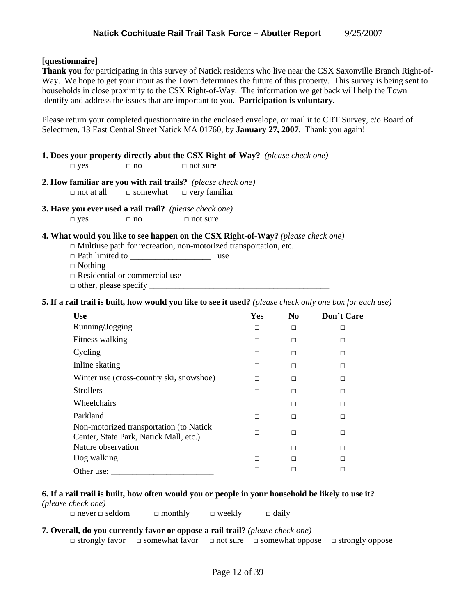#### **[questionnaire]**

**Thank you** for participating in this survey of Natick residents who live near the CSX Saxonville Branch Right-of-Way. We hope to get your input as the Town determines the future of this property. This survey is being sent to households in close proximity to the CSX Right-of-Way. The information we get back will help the Town identify and address the issues that are important to you. **Participation is voluntary.**

Please return your completed questionnaire in the enclosed envelope, or mail it to CRT Survey, c/o Board of Selectmen, 13 East Central Street Natick MA 01760, by **January 27, 2007**. Thank you again!

| 1. Does your property directly abut the CSX Right-of-Way? (please check one) |  |
|------------------------------------------------------------------------------|--|
|                                                                              |  |

 $\Box$  yes  $\Box$  no  $\Box$  not sure

**2. How familiar are you with rail trails?** *(please check one)* □ not at all □ somewhat □ very familiar

**3. Have you ever used a rail trail?** *(please check one)*

 $\Box$  yes  $\Box$  no  $\Box$  not sure

#### **4. What would you like to see happen on the CSX Right-of-Way?** *(please check one)*

- $\Box$  Multiuse path for recreation, non-motorized transportation, etc.
- □ Path limited to \_\_\_\_\_\_\_\_\_\_\_\_\_\_\_\_\_\_\_ use

□ Nothing

□ Residential or commercial use

 $\Box$  other, please specify

**5. If a rail trail is built, how would you like to see it used?** *(please check only one box for each use)*

| <b>Use</b>                                                                        | Yes | N <sub>0</sub> | Don't Care |
|-----------------------------------------------------------------------------------|-----|----------------|------------|
| Running/Jogging                                                                   | □   | □              | п          |
| Fitness walking                                                                   | □   | □              | □          |
| Cycling                                                                           | п   | □              | п          |
| Inline skating                                                                    | п   | □              | п          |
| Winter use (cross-country ski, snowshoe)                                          | п   | □              | □          |
| <b>Strollers</b>                                                                  | П   | П              | п          |
| Wheelchairs                                                                       | п   | п              | п          |
| Parkland                                                                          | П   | П              | П          |
| Non-motorized transportation (to Natick<br>Center, State Park, Natick Mall, etc.) | □   | П              | п          |
| Nature observation                                                                | п   | □              | п          |
| Dog walking                                                                       | П   | п              | п          |
| Other use:                                                                        |     | П              | п          |

## **6. If a rail trail is built, how often would you or people in your household be likely to use it?**

*(please check one)*

 $\Box$  never  $\Box$  seldom  $\Box$  monthly  $\Box$  weekly  $\Box$  daily

#### **7. Overall, do you currently favor or oppose a rail trail?** *(please check one)*

□ strongly favor □ somewhat favor □ not sure □ somewhat oppose □ strongly oppose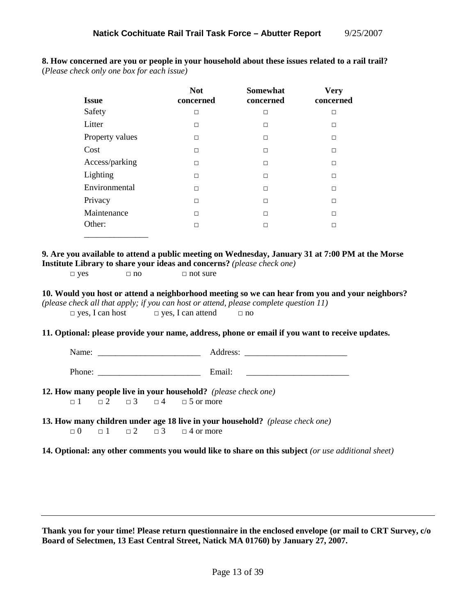|                                                                |                        |                      | <b>Not</b>                                  | <b>Somewhat</b>                                                                                    | <b>Very</b>                                                                                        |  |
|----------------------------------------------------------------|------------------------|----------------------|---------------------------------------------|----------------------------------------------------------------------------------------------------|----------------------------------------------------------------------------------------------------|--|
|                                                                | <b>Issue</b>           |                      | concerned                                   | concerned                                                                                          | concerned                                                                                          |  |
|                                                                | Safety                 |                      | $\Box$                                      | $\Box$                                                                                             | $\Box$                                                                                             |  |
|                                                                | Litter                 |                      | $\Box$                                      | $\Box$                                                                                             | $\Box$                                                                                             |  |
|                                                                | Property values        |                      | $\Box$                                      | $\Box$                                                                                             | $\Box$                                                                                             |  |
| Cost                                                           |                        |                      | $\Box$                                      | $\Box$                                                                                             | $\Box$                                                                                             |  |
|                                                                | Access/parking         |                      | $\Box$                                      | $\Box$                                                                                             | $\Box$                                                                                             |  |
|                                                                | Lighting               |                      | $\Box$                                      | $\Box$                                                                                             | $\Box$                                                                                             |  |
|                                                                | Environmental          |                      | $\Box$                                      | $\Box$                                                                                             | $\Box$                                                                                             |  |
|                                                                | Privacy                |                      | $\Box$                                      | $\Box$                                                                                             | $\Box$                                                                                             |  |
|                                                                | Maintenance            |                      | $\Box$                                      | $\Box$                                                                                             | $\Box$                                                                                             |  |
|                                                                | Other:                 |                      | $\Box$                                      | $\Box$                                                                                             | $\Box$                                                                                             |  |
| $\square$ yes                                                  | $\Box$ yes, I can host | $\Box$ no            | $\Box$ not sure<br>$\Box$ yes, I can attend | (please check all that apply; if you can host or attend, please complete question 11)<br>$\Box$ no | 10. Would you host or attend a neighborhood meeting so we can hear from you and your neighbors?    |  |
|                                                                |                        |                      |                                             |                                                                                                    | 11. Optional: please provide your name, address, phone or email if you want to receive updates.    |  |
|                                                                |                        |                      |                                             |                                                                                                    |                                                                                                    |  |
|                                                                |                        |                      | Phone: Email:                               |                                                                                                    |                                                                                                    |  |
| 12. How many people live in your household? (please check one) |                        |                      |                                             |                                                                                                    |                                                                                                    |  |
| $\Box$ 1                                                       | $\Box$ 2               | $\Box$ 3<br>$\Box$ 4 | $\Box$ 5 or more                            |                                                                                                    |                                                                                                    |  |
| $\Box$ 0                                                       | $\Box$ 1               | $\Box$ 2<br>$\Box$ 3 | $\Box$ 4 or more                            | 13. How many children under age 18 live in your household? (please check one)                      |                                                                                                    |  |
|                                                                |                        |                      |                                             |                                                                                                    | 14. Optional: any other comments you would like to share on this subject (or use additional sheet) |  |

**8. How concerned are you or people in your household about these issues related to a rail trail?**  (*Please check only one box for each issue)* 

**Thank you for your time! Please return questionnaire in the enclosed envelope (or mail to CRT Survey, c/o Board of Selectmen, 13 East Central Street, Natick MA 01760) by January 27, 2007.**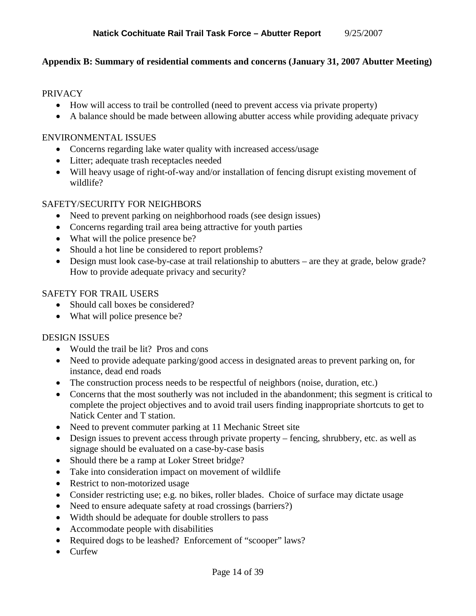## **Appendix B: Summary of residential comments and concerns (January 31, 2007 Abutter Meeting)**

#### PRIVACY

- How will access to trail be controlled (need to prevent access via private property)
- A balance should be made between allowing abutter access while providing adequate privacy

#### ENVIRONMENTAL ISSUES

- Concerns regarding lake water quality with increased access/usage
- Litter; adequate trash receptacles needed
- Will heavy usage of right-of-way and/or installation of fencing disrupt existing movement of wildlife?

#### SAFETY/SECURITY FOR NEIGHBORS

- Need to prevent parking on neighborhood roads (see design issues)
- Concerns regarding trail area being attractive for youth parties
- What will the police presence be?
- Should a hot line be considered to report problems?
- Design must look case-by-case at trail relationship to abutters are they at grade, below grade? How to provide adequate privacy and security?

#### SAFETY FOR TRAIL USERS

- Should call boxes be considered?
- What will police presence be?

#### DESIGN ISSUES

- Would the trail be lit? Pros and cons
- Need to provide adequate parking/good access in designated areas to prevent parking on, for instance, dead end roads
- The construction process needs to be respectful of neighbors (noise, duration, etc.)
- Concerns that the most southerly was not included in the abandonment; this segment is critical to complete the project objectives and to avoid trail users finding inappropriate shortcuts to get to Natick Center and T station.
- Need to prevent commuter parking at 11 Mechanic Street site
- Design issues to prevent access through private property fencing, shrubbery, etc. as well as signage should be evaluated on a case-by-case basis
- Should there be a ramp at Loker Street bridge?
- Take into consideration impact on movement of wildlife
- Restrict to non-motorized usage
- Consider restricting use; e.g. no bikes, roller blades. Choice of surface may dictate usage
- Need to ensure adequate safety at road crossings (barriers?)
- Width should be adequate for double strollers to pass
- Accommodate people with disabilities
- Required dogs to be leashed? Enforcement of "scooper" laws?
- Curfew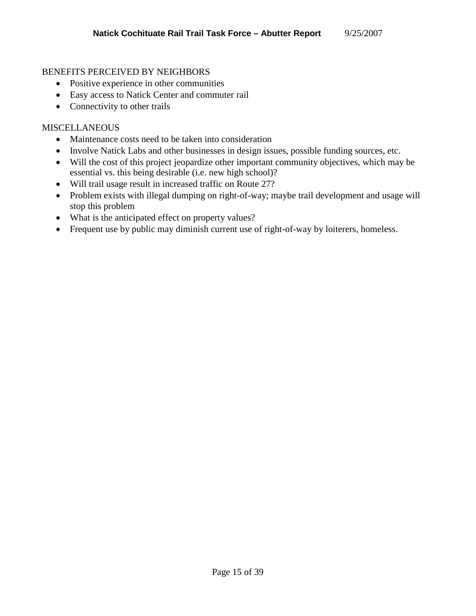#### BENEFITS PERCEIVED BY NEIGHBORS

- Positive experience in other communities
- Easy access to Natick Center and commuter rail
- Connectivity to other trails

#### MISCELLANEOUS

- Maintenance costs need to be taken into consideration
- Involve Natick Labs and other businesses in design issues, possible funding sources, etc.
- Will the cost of this project jeopardize other important community objectives, which may be essential vs. this being desirable (i.e. new high school)?
- Will trail usage result in increased traffic on Route 27?
- Problem exists with illegal dumping on right-of-way; maybe trail development and usage will stop this problem
- What is the anticipated effect on property values?
- Frequent use by public may diminish current use of right-of-way by loiterers, homeless.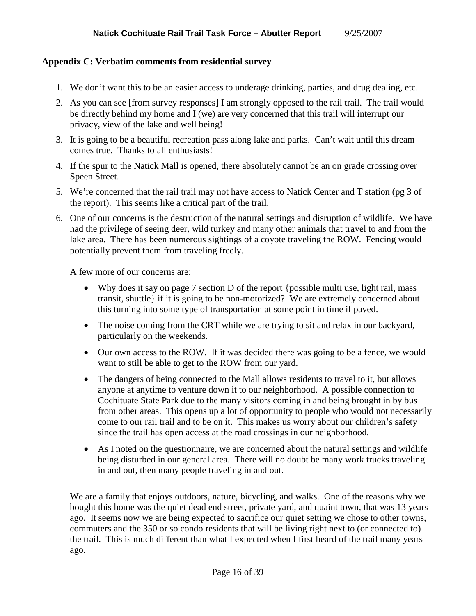### **Appendix C: Verbatim comments from residential survey**

- 1. We don't want this to be an easier access to underage drinking, parties, and drug dealing, etc.
- 2. As you can see [from survey responses] I am strongly opposed to the rail trail. The trail would be directly behind my home and I (we) are very concerned that this trail will interrupt our privacy, view of the lake and well being!
- 3. It is going to be a beautiful recreation pass along lake and parks. Can't wait until this dream comes true. Thanks to all enthusiasts!
- 4. If the spur to the Natick Mall is opened, there absolutely cannot be an on grade crossing over Speen Street.
- 5. We're concerned that the rail trail may not have access to Natick Center and T station (pg 3 of the report). This seems like a critical part of the trail.
- 6. One of our concerns is the destruction of the natural settings and disruption of wildlife. We have had the privilege of seeing deer, wild turkey and many other animals that travel to and from the lake area. There has been numerous sightings of a coyote traveling the ROW. Fencing would potentially prevent them from traveling freely.

A few more of our concerns are:

- Why does it say on page 7 section D of the report {possible multi use, light rail, mass transit, shuttle} if it is going to be non-motorized? We are extremely concerned about this turning into some type of transportation at some point in time if paved.
- The noise coming from the CRT while we are trying to sit and relax in our backyard, particularly on the weekends.
- Our own access to the ROW. If it was decided there was going to be a fence, we would want to still be able to get to the ROW from our yard.
- The dangers of being connected to the Mall allows residents to travel to it, but allows anyone at anytime to venture down it to our neighborhood. A possible connection to Cochituate State Park due to the many visitors coming in and being brought in by bus from other areas. This opens up a lot of opportunity to people who would not necessarily come to our rail trail and to be on it. This makes us worry about our children's safety since the trail has open access at the road crossings in our neighborhood.
- As I noted on the questionnaire, we are concerned about the natural settings and wildlife being disturbed in our general area. There will no doubt be many work trucks traveling in and out, then many people traveling in and out.

We are a family that enjoys outdoors, nature, bicycling, and walks. One of the reasons why we bought this home was the quiet dead end street, private yard, and quaint town, that was 13 years ago. It seems now we are being expected to sacrifice our quiet setting we chose to other towns, commuters and the 350 or so condo residents that will be living right next to (or connected to) the trail. This is much different than what I expected when I first heard of the trail many years ago.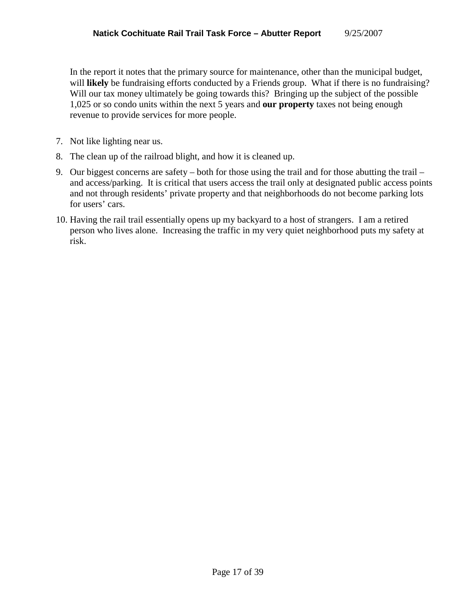In the report it notes that the primary source for maintenance, other than the municipal budget, will **likely** be fundraising efforts conducted by a Friends group. What if there is no fundraising? Will our tax money ultimately be going towards this? Bringing up the subject of the possible 1,025 or so condo units within the next 5 years and **our property** taxes not being enough revenue to provide services for more people.

- 7. Not like lighting near us.
- 8. The clean up of the railroad blight, and how it is cleaned up.
- 9. Our biggest concerns are safety both for those using the trail and for those abutting the trail and access/parking. It is critical that users access the trail only at designated public access points and not through residents' private property and that neighborhoods do not become parking lots for users' cars.
- 10. Having the rail trail essentially opens up my backyard to a host of strangers. I am a retired person who lives alone. Increasing the traffic in my very quiet neighborhood puts my safety at risk.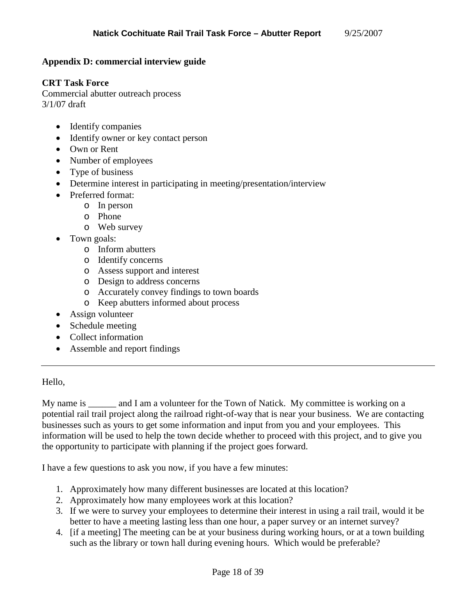### **Appendix D: commercial interview guide**

#### **CRT Task Force**

Commercial abutter outreach process 3/1/07 draft

- Identify companies
- Identify owner or key contact person
- Own or Rent
- Number of employees
- Type of business
- Determine interest in participating in meeting/presentation/interview
- Preferred format:
	- o In person
	- o Phone
	- o Web survey
- Town goals:
	- o Inform abutters
	- o Identify concerns
	- o Assess support and interest
	- o Design to address concerns
	- o Accurately convey findings to town boards
	- o Keep abutters informed about process
- Assign volunteer
- Schedule meeting
- Collect information
- Assemble and report findings

#### Hello,

My name is and I am a volunteer for the Town of Natick. My committee is working on a potential rail trail project along the railroad right-of-way that is near your business. We are contacting businesses such as yours to get some information and input from you and your employees. This information will be used to help the town decide whether to proceed with this project, and to give you the opportunity to participate with planning if the project goes forward.

I have a few questions to ask you now, if you have a few minutes:

- 1. Approximately how many different businesses are located at this location?
- 2. Approximately how many employees work at this location?
- 3. If we were to survey your employees to determine their interest in using a rail trail, would it be better to have a meeting lasting less than one hour, a paper survey or an internet survey?
- 4. [if a meeting] The meeting can be at your business during working hours, or at a town building such as the library or town hall during evening hours. Which would be preferable?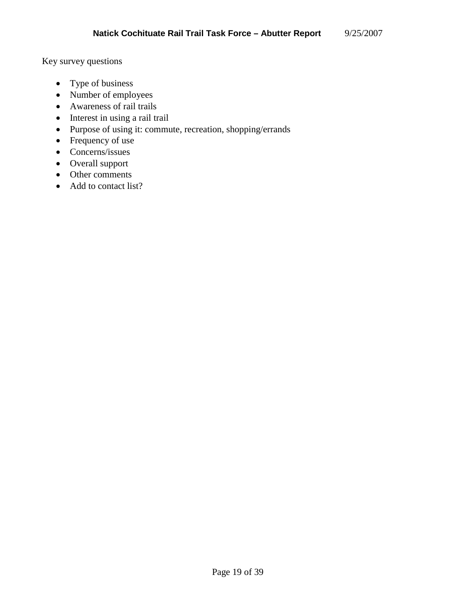Key survey questions

- Type of business
- Number of employees
- Awareness of rail trails
- Interest in using a rail trail
- Purpose of using it: commute, recreation, shopping/errands
- Frequency of use
- Concerns/issues
- Overall support
- Other comments
- Add to contact list?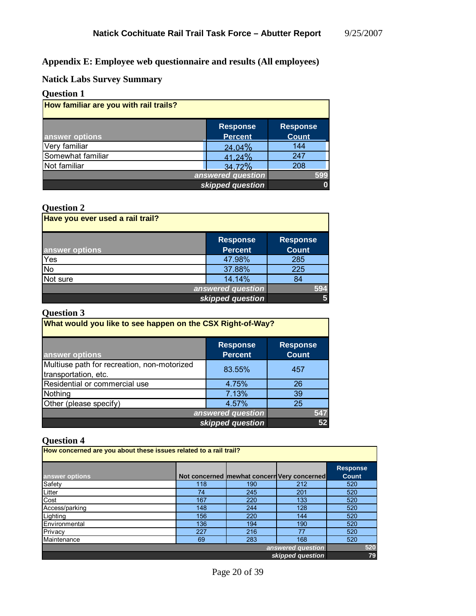**Appendix E: Employee web questionnaire and results (All employees)** 

**Natick Labs Survey Summary** 

## **Question 1**

| How familiar are you with rail trails? |                                   |                          |  |
|----------------------------------------|-----------------------------------|--------------------------|--|
| answer options                         | <b>Response</b><br><b>Percent</b> | Response<br><b>Count</b> |  |
| Very familiar                          | 24.04%                            | 144                      |  |
| Somewhat familiar                      | 41.24%                            | 247                      |  |
| Not familiar                           | 34.72%                            | 208                      |  |
|                                        | answered question                 | 599                      |  |
|                                        | skipped question                  |                          |  |

## **Question 2**

| Have you ever used a rail trail? |                                   |                                 |
|----------------------------------|-----------------------------------|---------------------------------|
| answer options                   | <b>Response</b><br><b>Percent</b> | <b>Response</b><br><b>Count</b> |
| Yes                              | 47.98%                            | 285                             |
| <b>No</b>                        | 37.88%                            | 225                             |
| Not sure                         | 14.14%                            | 84                              |
|                                  | answered question                 | 594                             |
|                                  | skipped question                  | 5                               |

## **Question 3**

| What would you like to see happen on the CSX Right-of-Way?          |                                   |                                 |  |
|---------------------------------------------------------------------|-----------------------------------|---------------------------------|--|
| answer options                                                      | <b>Response</b><br><b>Percent</b> | <b>Response</b><br><b>Count</b> |  |
| Multiuse path for recreation, non-motorized<br>transportation, etc. | 83.55%                            | 457                             |  |
| Residential or commercial use                                       | 4.75%                             | 26                              |  |
| Nothing                                                             | 7.13%                             | 39                              |  |
| Other (please specify)                                              | 4.57%                             | 25                              |  |
| answered question                                                   | 547                               |                                 |  |
| skipped question                                                    | 52                                |                                 |  |

| $\mathbf v$ uvouvil i                                             |     |     |                                             |                 |
|-------------------------------------------------------------------|-----|-----|---------------------------------------------|-----------------|
| How concerned are you about these issues related to a rail trail? |     |     |                                             |                 |
|                                                                   |     |     |                                             |                 |
|                                                                   |     |     |                                             | <b>Response</b> |
| answer options                                                    |     |     | Not concerned mewhat concern Very concerned | Count           |
| Safety                                                            | 118 | 190 | 212                                         | 520             |
| Litter                                                            | 74  | 245 | 201                                         | 520             |
| Cost                                                              | 167 | 220 | 133                                         | 520             |
| Access/parking                                                    | 148 | 244 | 128                                         | 520             |
| Lighting                                                          | 156 | 220 | 144                                         | 520             |
| Environmental                                                     | 136 | 194 | 190                                         | 520             |
| Privacy                                                           | 227 | 216 | 77                                          | 520             |
| Maintenance                                                       | 69  | 283 | 168                                         | 520             |
| answered question                                                 |     |     |                                             | 520             |
| skipped question                                                  |     |     |                                             | 79              |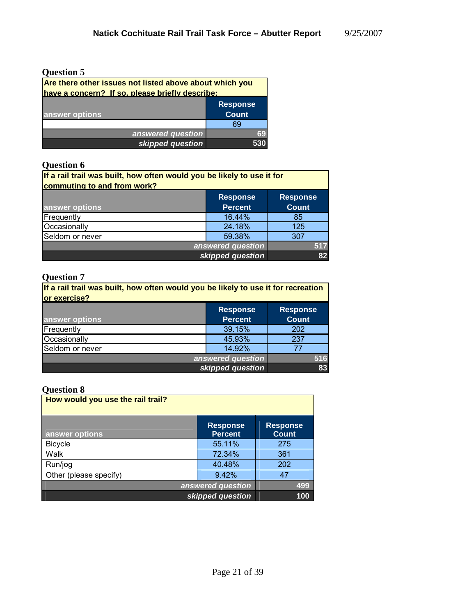| <b>Question 5</b>                                       |                 |
|---------------------------------------------------------|-----------------|
| Are there other issues not listed above about which you |                 |
| have a concern? If so, please briefly describe:         |                 |
|                                                         | <b>Response</b> |
| answer options                                          | <b>Count</b>    |
|                                                         | 69              |
| answered question                                       | 69              |
| skipped question                                        | 530             |

## **Question 6**

| If a rail trail was built, how often would you be likely to use it for |                                   |                                 |  |
|------------------------------------------------------------------------|-----------------------------------|---------------------------------|--|
| commuting to and from work?                                            |                                   |                                 |  |
| answer options                                                         | <b>Response</b><br><b>Percent</b> | <b>Response</b><br><b>Count</b> |  |
| Frequently                                                             | 16.44%                            | 85                              |  |
| Occasionally                                                           | 24.18%                            | 125                             |  |
| Seldom or never                                                        | 59.38%                            | 307                             |  |
| answered question                                                      | 517                               |                                 |  |
|                                                                        | skipped question                  | 82                              |  |

## **Question 7**

| If a rail trail was built, how often would you be likely to use it for recreation<br>or exercise? |                                   |                                 |  |
|---------------------------------------------------------------------------------------------------|-----------------------------------|---------------------------------|--|
| answer options                                                                                    | <b>Response</b><br><b>Percent</b> | <b>Response</b><br><b>Count</b> |  |
| Frequently                                                                                        | 39.15%                            | 202                             |  |
| Occasionally                                                                                      | 45.93%                            | 237                             |  |
| Seldom or never                                                                                   | 14.92%                            | 77                              |  |
| answered question                                                                                 | 516                               |                                 |  |
|                                                                                                   | skipped question                  | 83                              |  |

| How would you use the rail trail? |                                   |                                 |
|-----------------------------------|-----------------------------------|---------------------------------|
| answer options                    | <b>Response</b><br><b>Percent</b> | <b>Response</b><br><b>Count</b> |
| <b>Bicycle</b>                    | 55.11%                            | 275                             |
| Walk                              | 72.34%                            | 361                             |
| Run/jog                           | 40.48%                            | 202                             |
| Other (please specify)            | 9.42%                             | 47                              |
| answered question                 |                                   |                                 |
| skipped question                  |                                   | 100                             |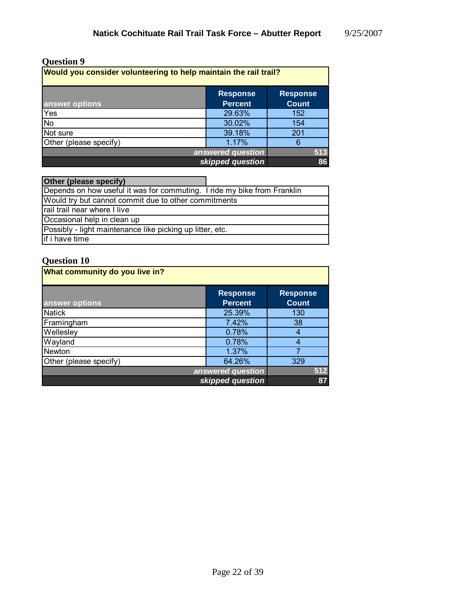## **Question 9**

| Would you consider volunteering to help maintain the rail trail? |                                   |                                 |
|------------------------------------------------------------------|-----------------------------------|---------------------------------|
| answer options                                                   | <b>Response</b><br><b>Percent</b> | <b>Response</b><br><b>Count</b> |
| Yes                                                              | 29.63%                            | 152                             |
| <b>No</b>                                                        | 30.02%                            | 154                             |
| Not sure                                                         | 39.18%                            | 201                             |
| Other (please specify)                                           | 1.17%                             | 6                               |
| 513<br>answered question                                         |                                   |                                 |
| skipped question                                                 |                                   |                                 |

| Other (please specify)                                                   |  |
|--------------------------------------------------------------------------|--|
| Depends on how useful it was for commuting. I ride my bike from Franklin |  |
| Would try but cannot commit due to other commitments                     |  |
| rail trail near where I live                                             |  |
| Occasional help in clean up                                              |  |
| Possibly - light maintenance like picking up litter, etc.                |  |
| if i have time                                                           |  |

| What community do you live in? |                                   |                                 |
|--------------------------------|-----------------------------------|---------------------------------|
| answer options                 | <b>Response</b><br><b>Percent</b> | <b>Response</b><br><b>Count</b> |
| <b>Natick</b>                  | 25.39%                            | 130                             |
| Framingham                     | 7.42%                             | 38                              |
| Wellesley                      | 0.78%                             | 4                               |
| Wayland                        | 0.78%                             | 4                               |
| Newton                         | 1.37%                             |                                 |
| Other (please specify)         | 64.26%                            | 329                             |
| answered question              |                                   | 512                             |
|                                | skipped question                  | 87                              |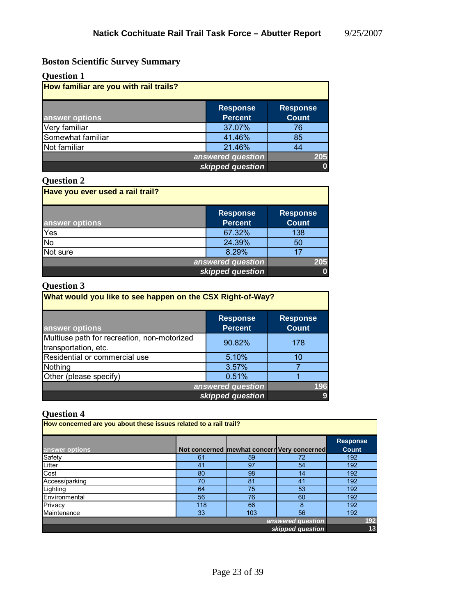# **Boston Scientific Survey Summary**

| <b>Question 1</b>                      |                                   |                                 |
|----------------------------------------|-----------------------------------|---------------------------------|
| How familiar are you with rail trails? |                                   |                                 |
| answer options                         | <b>Response</b><br><b>Percent</b> | <b>Response</b><br><b>Count</b> |
| Very familiar                          | 37.07%                            | 76                              |
| Somewhat familiar                      | 41.46%                            | 85                              |
| Not familiar                           | 21.46%                            | 44                              |
|                                        | answered question                 | 205                             |
|                                        | skipped question                  | 0                               |

## **Question 2**

| Have you ever used a rail trail? |                                   |                                 |
|----------------------------------|-----------------------------------|---------------------------------|
| answer options                   | <b>Response</b><br><b>Percent</b> | <b>Response</b><br><b>Count</b> |
| Yes                              | 67.32%                            | 138                             |
| <b>No</b>                        | 24.39%                            | 50                              |
| Not sure                         | 8.29%                             | 17                              |
| answered question                |                                   | 205                             |
|                                  | skipped question                  |                                 |

# **Question 3**

| What would you like to see happen on the CSX Right-of-Way?          |                                   |                                 |
|---------------------------------------------------------------------|-----------------------------------|---------------------------------|
| answer options                                                      | <b>Response</b><br><b>Percent</b> | <b>Response</b><br><b>Count</b> |
| Multiuse path for recreation, non-motorized<br>transportation, etc. | 90.82%                            | 178                             |
| Residential or commercial use                                       | 5.10%                             | 10                              |
| Nothing                                                             | 3.57%                             |                                 |
| Other (please specify)                                              | 0.51%                             |                                 |
| answered question                                                   |                                   | 196                             |
|                                                                     | skipped question                  |                                 |

| $\mathbf{v}$ and $\mathbf{v}$ and $\mathbf{v}$ |                                                                   |                                             |    |                 |
|------------------------------------------------|-------------------------------------------------------------------|---------------------------------------------|----|-----------------|
|                                                | How concerned are you about these issues related to a rail trail? |                                             |    |                 |
|                                                |                                                                   |                                             |    |                 |
|                                                |                                                                   |                                             |    | <b>Response</b> |
| answer options                                 |                                                                   | Not concerned mewhat concern Very concerned |    | <b>Count</b>    |
| Safety                                         | 61                                                                | 59                                          | 72 | 192             |
| Litter                                         | 41                                                                | 97                                          | 54 | 192             |
| Cost                                           | 80                                                                | 98                                          | 14 | 192             |
| Access/parking                                 | 70                                                                | 81                                          | 41 | 192             |
| Lighting                                       | 64                                                                | 75                                          | 53 | 192             |
| Environmental                                  | 56                                                                | 76                                          | 60 | 192             |
| Privacy                                        | 118                                                               | 66                                          | 8  | 192             |
| Maintenance                                    | 33                                                                | 103                                         | 56 | 192             |
| answered question                              |                                                                   |                                             |    | 192             |
| skipped question                               |                                                                   |                                             | 13 |                 |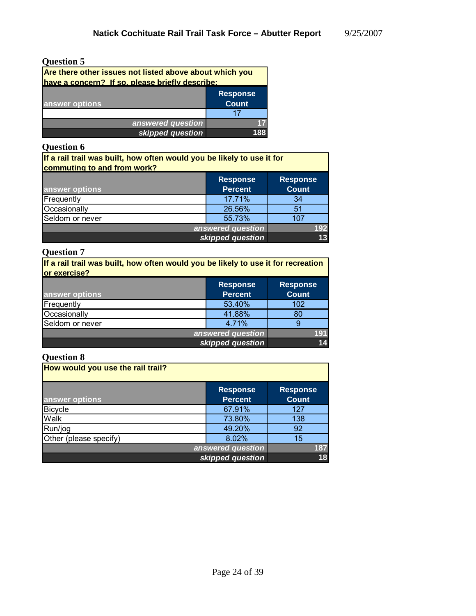*skipped question*

**13**

# **Question 5**

| Are there other issues not listed above about which you<br>have a concern? If so, please briefly describe: |                                 |  |
|------------------------------------------------------------------------------------------------------------|---------------------------------|--|
| answer options                                                                                             | <b>Response</b><br><b>Count</b> |  |
|                                                                                                            |                                 |  |
| answered question                                                                                          |                                 |  |
| skipped question                                                                                           |                                 |  |

## **Question 6**

| If a rail trail was built, how often would you be likely to use it for<br>commuting to and from work? |                                   |                                 |
|-------------------------------------------------------------------------------------------------------|-----------------------------------|---------------------------------|
| answer options                                                                                        | <b>Response</b><br><b>Percent</b> | <b>Response</b><br><b>Count</b> |
| Frequently                                                                                            | 17.71%                            | -34                             |
| Occasionally                                                                                          | 26.56%                            | 51                              |
| Seldom or never                                                                                       | 55.73%                            | 107                             |
|                                                                                                       | answered question                 | 92                              |

#### **Question 7**

| If a rail trail was built, how often would you be likely to use it for recreation<br>or exercise? |                                   |                                 |
|---------------------------------------------------------------------------------------------------|-----------------------------------|---------------------------------|
| answer options                                                                                    | <b>Response</b><br><b>Percent</b> | <b>Response</b><br><b>Count</b> |
| Frequently                                                                                        | 53.40%                            | 102                             |
| Occasionally                                                                                      | 41.88%                            | 80                              |
| Seldom or never                                                                                   | 4.71%                             | 9                               |
| answered question                                                                                 |                                   | 191.                            |
|                                                                                                   | skipped question                  |                                 |

| How would you use the rail trail? |                                   |                                 |
|-----------------------------------|-----------------------------------|---------------------------------|
| answer options                    | <b>Response</b><br><b>Percent</b> | <b>Response</b><br><b>Count</b> |
| <b>Bicycle</b>                    | 67.91%                            | 127                             |
| Walk                              | 73.80%                            | 138                             |
| Run/jog                           | 49.20%                            | 92                              |
| Other (please specify)            | 8.02%                             | 15                              |
|                                   | answered question                 | 187                             |
|                                   | skipped question                  | 18                              |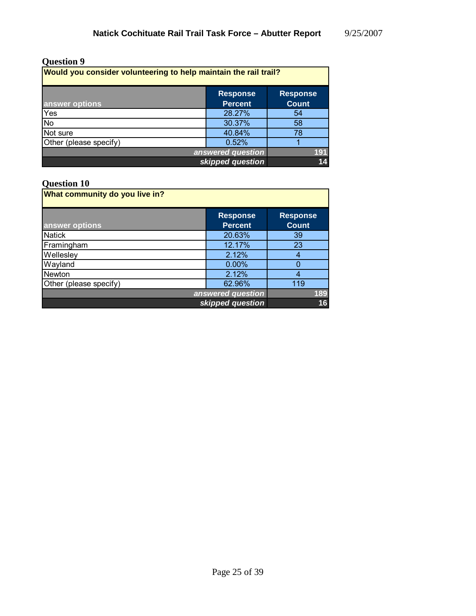## **Question 9**

| Would you consider volunteering to help maintain the rail trail? |                                   |                                 |
|------------------------------------------------------------------|-----------------------------------|---------------------------------|
| answer options                                                   | <b>Response</b><br><b>Percent</b> | <b>Response</b><br><b>Count</b> |
| Yes                                                              | 28.27%                            | 54                              |
| <b>No</b>                                                        | 30.37%                            | 58                              |
| Not sure                                                         | 40.84%                            | 78                              |
| Other (please specify)                                           | 0.52%                             |                                 |
| answered question                                                |                                   | 191                             |
| skipped question                                                 |                                   | 14                              |

| What community do you live in? |                                   |                                 |
|--------------------------------|-----------------------------------|---------------------------------|
| answer options                 | <b>Response</b><br><b>Percent</b> | <b>Response</b><br><b>Count</b> |
| <b>Natick</b>                  | 20.63%                            | 39                              |
| Framingham                     | 12.17%                            | 23                              |
| Wellesley                      | 2.12%                             | 4                               |
| Wayland                        | $0.00\%$                          |                                 |
| Newton                         | 2.12%                             | 4                               |
| Other (please specify)         | 62.96%                            | 119                             |
| answered question              |                                   | 189                             |
| skipped question               |                                   | 16                              |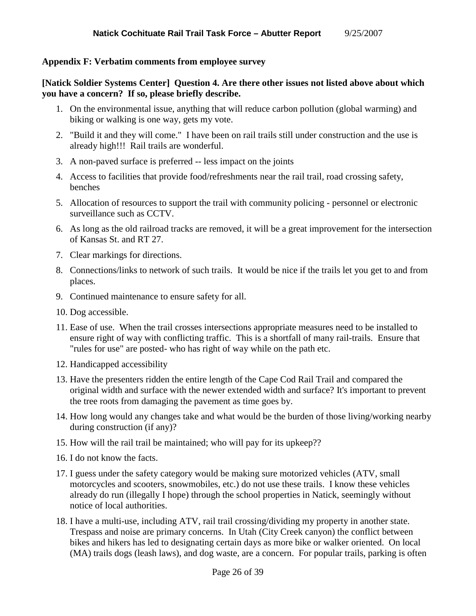### **Appendix F: Verbatim comments from employee survey**

#### **[Natick Soldier Systems Center] Question 4. Are there other issues not listed above about which you have a concern? If so, please briefly describe.**

- 1. On the environmental issue, anything that will reduce carbon pollution (global warming) and biking or walking is one way, gets my vote.
- 2. "Build it and they will come." I have been on rail trails still under construction and the use is already high!!! Rail trails are wonderful.
- 3. A non-paved surface is preferred -- less impact on the joints
- 4. Access to facilities that provide food/refreshments near the rail trail, road crossing safety, benches
- 5. Allocation of resources to support the trail with community policing personnel or electronic surveillance such as CCTV.
- 6. As long as the old railroad tracks are removed, it will be a great improvement for the intersection of Kansas St. and RT 27.
- 7. Clear markings for directions.
- 8. Connections/links to network of such trails. It would be nice if the trails let you get to and from places.
- 9. Continued maintenance to ensure safety for all.
- 10. Dog accessible.
- 11. Ease of use. When the trail crosses intersections appropriate measures need to be installed to ensure right of way with conflicting traffic. This is a shortfall of many rail-trails. Ensure that "rules for use" are posted- who has right of way while on the path etc.
- 12. Handicapped accessibility
- 13. Have the presenters ridden the entire length of the Cape Cod Rail Trail and compared the original width and surface with the newer extended width and surface? It's important to prevent the tree roots from damaging the pavement as time goes by.
- 14. How long would any changes take and what would be the burden of those living/working nearby during construction (if any)?
- 15. How will the rail trail be maintained; who will pay for its upkeep??
- 16. I do not know the facts.
- 17. I guess under the safety category would be making sure motorized vehicles (ATV, small motorcycles and scooters, snowmobiles, etc.) do not use these trails. I know these vehicles already do run (illegally I hope) through the school properties in Natick, seemingly without notice of local authorities.
- 18. I have a multi-use, including ATV, rail trail crossing/dividing my property in another state. Trespass and noise are primary concerns. In Utah (City Creek canyon) the conflict between bikes and hikers has led to designating certain days as more bike or walker oriented. On local (MA) trails dogs (leash laws), and dog waste, are a concern. For popular trails, parking is often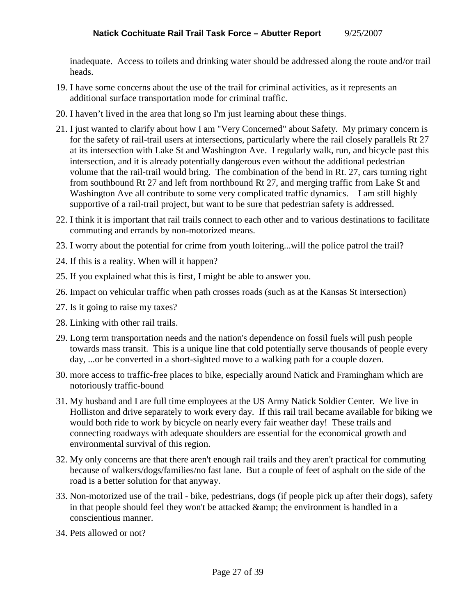inadequate. Access to toilets and drinking water should be addressed along the route and/or trail heads.

- 19. I have some concerns about the use of the trail for criminal activities, as it represents an additional surface transportation mode for criminal traffic.
- 20. I haven't lived in the area that long so I'm just learning about these things.
- 21. I just wanted to clarify about how I am "Very Concerned" about Safety. My primary concern is for the safety of rail-trail users at intersections, particularly where the rail closely parallels Rt 27 at its intersection with Lake St and Washington Ave. I regularly walk, run, and bicycle past this intersection, and it is already potentially dangerous even without the additional pedestrian volume that the rail-trail would bring. The combination of the bend in Rt. 27, cars turning right from southbound Rt 27 and left from northbound Rt 27, and merging traffic from Lake St and Washington Ave all contribute to some very complicated traffic dynamics. I am still highly supportive of a rail-trail project, but want to be sure that pedestrian safety is addressed.
- 22. I think it is important that rail trails connect to each other and to various destinations to facilitate commuting and errands by non-motorized means.
- 23. I worry about the potential for crime from youth loitering...will the police patrol the trail?
- 24. If this is a reality. When will it happen?
- 25. If you explained what this is first, I might be able to answer you.
- 26. Impact on vehicular traffic when path crosses roads (such as at the Kansas St intersection)
- 27. Is it going to raise my taxes?
- 28. Linking with other rail trails.
- 29. Long term transportation needs and the nation's dependence on fossil fuels will push people towards mass transit. This is a unique line that cold potentially serve thousands of people every day, ...or be converted in a short-sighted move to a walking path for a couple dozen.
- 30. more access to traffic-free places to bike, especially around Natick and Framingham which are notoriously traffic-bound
- 31. My husband and I are full time employees at the US Army Natick Soldier Center. We live in Holliston and drive separately to work every day. If this rail trail became available for biking we would both ride to work by bicycle on nearly every fair weather day! These trails and connecting roadways with adequate shoulders are essential for the economical growth and environmental survival of this region.
- 32. My only concerns are that there aren't enough rail trails and they aren't practical for commuting because of walkers/dogs/families/no fast lane. But a couple of feet of asphalt on the side of the road is a better solution for that anyway.
- 33. Non-motorized use of the trail bike, pedestrians, dogs (if people pick up after their dogs), safety in that people should feel they won't be attacked & amp; the environment is handled in a conscientious manner.
- 34. Pets allowed or not?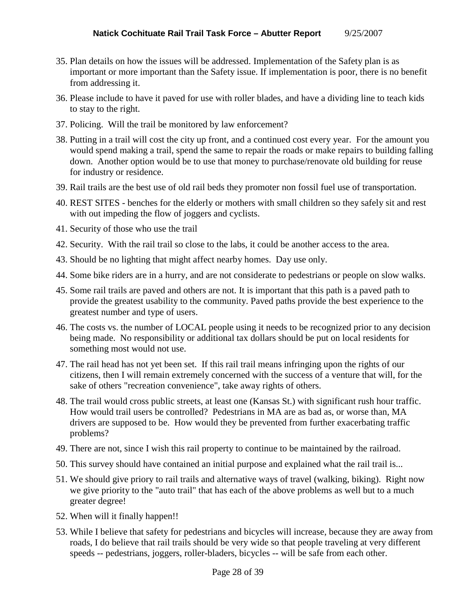- 35. Plan details on how the issues will be addressed. Implementation of the Safety plan is as important or more important than the Safety issue. If implementation is poor, there is no benefit from addressing it.
- 36. Please include to have it paved for use with roller blades, and have a dividing line to teach kids to stay to the right.
- 37. Policing. Will the trail be monitored by law enforcement?
- 38. Putting in a trail will cost the city up front, and a continued cost every year. For the amount you would spend making a trail, spend the same to repair the roads or make repairs to building falling down. Another option would be to use that money to purchase/renovate old building for reuse for industry or residence.
- 39. Rail trails are the best use of old rail beds they promoter non fossil fuel use of transportation.
- 40. REST SITES benches for the elderly or mothers with small children so they safely sit and rest with out impeding the flow of joggers and cyclists.
- 41. Security of those who use the trail
- 42. Security. With the rail trail so close to the labs, it could be another access to the area.
- 43. Should be no lighting that might affect nearby homes. Day use only.
- 44. Some bike riders are in a hurry, and are not considerate to pedestrians or people on slow walks.
- 45. Some rail trails are paved and others are not. It is important that this path is a paved path to provide the greatest usability to the community. Paved paths provide the best experience to the greatest number and type of users.
- 46. The costs vs. the number of LOCAL people using it needs to be recognized prior to any decision being made. No responsibility or additional tax dollars should be put on local residents for something most would not use.
- 47. The rail head has not yet been set. If this rail trail means infringing upon the rights of our citizens, then I will remain extremely concerned with the success of a venture that will, for the sake of others "recreation convenience", take away rights of others.
- 48. The trail would cross public streets, at least one (Kansas St.) with significant rush hour traffic. How would trail users be controlled? Pedestrians in MA are as bad as, or worse than, MA drivers are supposed to be. How would they be prevented from further exacerbating traffic problems?
- 49. There are not, since I wish this rail property to continue to be maintained by the railroad.
- 50. This survey should have contained an initial purpose and explained what the rail trail is...
- 51. We should give priory to rail trails and alternative ways of travel (walking, biking). Right now we give priority to the "auto trail" that has each of the above problems as well but to a much greater degree!
- 52. When will it finally happen!!
- 53. While I believe that safety for pedestrians and bicycles will increase, because they are away from roads, I do believe that rail trails should be very wide so that people traveling at very different speeds -- pedestrians, joggers, roller-bladers, bicycles -- will be safe from each other.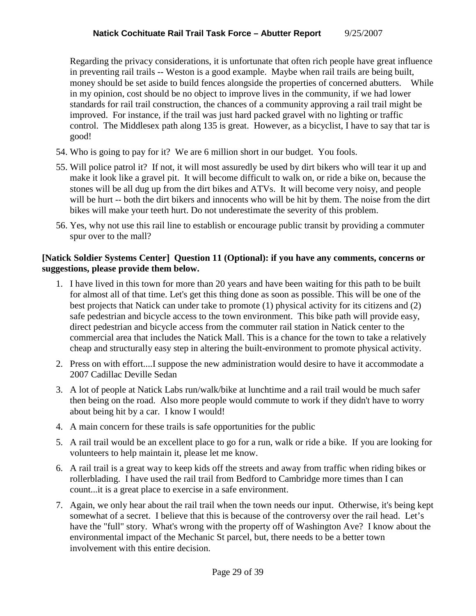Regarding the privacy considerations, it is unfortunate that often rich people have great influence in preventing rail trails -- Weston is a good example. Maybe when rail trails are being built, money should be set aside to build fences alongside the properties of concerned abutters. While in my opinion, cost should be no object to improve lives in the community, if we had lower standards for rail trail construction, the chances of a community approving a rail trail might be improved. For instance, if the trail was just hard packed gravel with no lighting or traffic control. The Middlesex path along 135 is great. However, as a bicyclist, I have to say that tar is good!

- 54. Who is going to pay for it? We are 6 million short in our budget. You fools.
- 55. Will police patrol it? If not, it will most assuredly be used by dirt bikers who will tear it up and make it look like a gravel pit. It will become difficult to walk on, or ride a bike on, because the stones will be all dug up from the dirt bikes and ATVs. It will become very noisy, and people will be hurt -- both the dirt bikers and innocents who will be hit by them. The noise from the dirt bikes will make your teeth hurt. Do not underestimate the severity of this problem.
- 56. Yes, why not use this rail line to establish or encourage public transit by providing a commuter spur over to the mall?

## **[Natick Soldier Systems Center] Question 11 (Optional): if you have any comments, concerns or suggestions, please provide them below.**

- 1. I have lived in this town for more than 20 years and have been waiting for this path to be built for almost all of that time. Let's get this thing done as soon as possible. This will be one of the best projects that Natick can under take to promote (1) physical activity for its citizens and (2) safe pedestrian and bicycle access to the town environment. This bike path will provide easy, direct pedestrian and bicycle access from the commuter rail station in Natick center to the commercial area that includes the Natick Mall. This is a chance for the town to take a relatively cheap and structurally easy step in altering the built-environment to promote physical activity.
- 2. Press on with effort....I suppose the new administration would desire to have it accommodate a 2007 Cadillac Deville Sedan
- 3. A lot of people at Natick Labs run/walk/bike at lunchtime and a rail trail would be much safer then being on the road. Also more people would commute to work if they didn't have to worry about being hit by a car. I know I would!
- 4. A main concern for these trails is safe opportunities for the public
- 5. A rail trail would be an excellent place to go for a run, walk or ride a bike. If you are looking for volunteers to help maintain it, please let me know.
- 6. A rail trail is a great way to keep kids off the streets and away from traffic when riding bikes or rollerblading. I have used the rail trail from Bedford to Cambridge more times than I can count...it is a great place to exercise in a safe environment.
- 7. Again, we only hear about the rail trail when the town needs our input. Otherwise, it's being kept somewhat of a secret. I believe that this is because of the controversy over the rail head. Let's have the "full" story. What's wrong with the property off of Washington Ave? I know about the environmental impact of the Mechanic St parcel, but, there needs to be a better town involvement with this entire decision.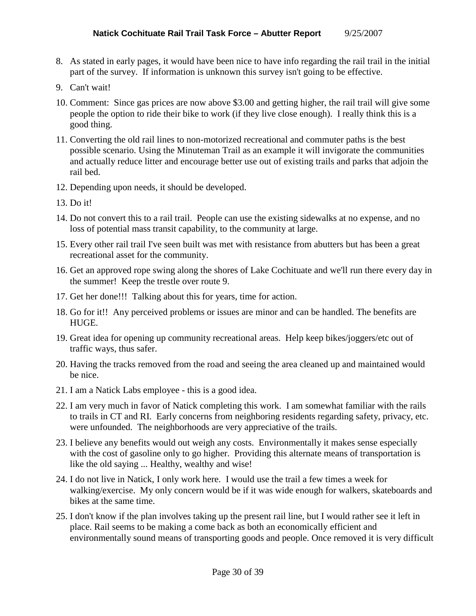- 8. As stated in early pages, it would have been nice to have info regarding the rail trail in the initial part of the survey. If information is unknown this survey isn't going to be effective.
- 9. Can't wait!
- 10. Comment: Since gas prices are now above \$3.00 and getting higher, the rail trail will give some people the option to ride their bike to work (if they live close enough). I really think this is a good thing.
- 11. Converting the old rail lines to non-motorized recreational and commuter paths is the best possible scenario. Using the Minuteman Trail as an example it will invigorate the communities and actually reduce litter and encourage better use out of existing trails and parks that adjoin the rail bed.
- 12. Depending upon needs, it should be developed.
- 13. Do it!
- 14. Do not convert this to a rail trail. People can use the existing sidewalks at no expense, and no loss of potential mass transit capability, to the community at large.
- 15. Every other rail trail I've seen built was met with resistance from abutters but has been a great recreational asset for the community.
- 16. Get an approved rope swing along the shores of Lake Cochituate and we'll run there every day in the summer! Keep the trestle over route 9.
- 17. Get her done!!! Talking about this for years, time for action.
- 18. Go for it!! Any perceived problems or issues are minor and can be handled. The benefits are HUGE.
- 19. Great idea for opening up community recreational areas. Help keep bikes/joggers/etc out of traffic ways, thus safer.
- 20. Having the tracks removed from the road and seeing the area cleaned up and maintained would be nice.
- 21. I am a Natick Labs employee this is a good idea.
- 22. I am very much in favor of Natick completing this work. I am somewhat familiar with the rails to trails in CT and RI. Early concerns from neighboring residents regarding safety, privacy, etc. were unfounded. The neighborhoods are very appreciative of the trails.
- 23. I believe any benefits would out weigh any costs. Environmentally it makes sense especially with the cost of gasoline only to go higher. Providing this alternate means of transportation is like the old saying ... Healthy, wealthy and wise!
- 24. I do not live in Natick, I only work here. I would use the trail a few times a week for walking/exercise. My only concern would be if it was wide enough for walkers, skateboards and bikes at the same time.
- 25. I don't know if the plan involves taking up the present rail line, but I would rather see it left in place. Rail seems to be making a come back as both an economically efficient and environmentally sound means of transporting goods and people. Once removed it is very difficult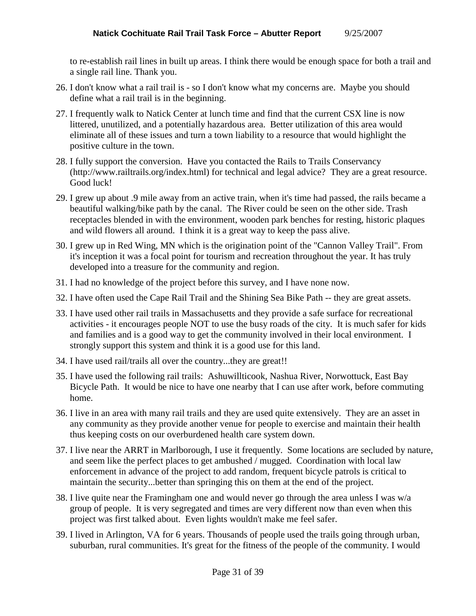to re-establish rail lines in built up areas. I think there would be enough space for both a trail and a single rail line. Thank you.

- 26. I don't know what a rail trail is so I don't know what my concerns are. Maybe you should define what a rail trail is in the beginning.
- 27. I frequently walk to Natick Center at lunch time and find that the current CSX line is now littered, unutilized, and a potentially hazardous area. Better utilization of this area would eliminate all of these issues and turn a town liability to a resource that would highlight the positive culture in the town.
- 28. I fully support the conversion. Have you contacted the Rails to Trails Conservancy (http://www.railtrails.org/index.html) for technical and legal advice? They are a great resource. Good luck!
- 29. I grew up about .9 mile away from an active train, when it's time had passed, the rails became a beautiful walking/bike path by the canal. The River could be seen on the other side. Trash receptacles blended in with the environment, wooden park benches for resting, historic plaques and wild flowers all around. I think it is a great way to keep the pass alive.
- 30. I grew up in Red Wing, MN which is the origination point of the "Cannon Valley Trail". From it's inception it was a focal point for tourism and recreation throughout the year. It has truly developed into a treasure for the community and region.
- 31. I had no knowledge of the project before this survey, and I have none now.
- 32. I have often used the Cape Rail Trail and the Shining Sea Bike Path -- they are great assets.
- 33. I have used other rail trails in Massachusetts and they provide a safe surface for recreational activities - it encourages people NOT to use the busy roads of the city. It is much safer for kids and families and is a good way to get the community involved in their local environment. I strongly support this system and think it is a good use for this land.
- 34. I have used rail/trails all over the country...they are great!!
- 35. I have used the following rail trails: Ashuwillticook, Nashua River, Norwottuck, East Bay Bicycle Path. It would be nice to have one nearby that I can use after work, before commuting home.
- 36. I live in an area with many rail trails and they are used quite extensively. They are an asset in any community as they provide another venue for people to exercise and maintain their health thus keeping costs on our overburdened health care system down.
- 37. I live near the ARRT in Marlborough, I use it frequently. Some locations are secluded by nature, and seem like the perfect places to get ambushed / mugged. Coordination with local law enforcement in advance of the project to add random, frequent bicycle patrols is critical to maintain the security...better than springing this on them at the end of the project.
- 38. I live quite near the Framingham one and would never go through the area unless I was w/a group of people. It is very segregated and times are very different now than even when this project was first talked about. Even lights wouldn't make me feel safer.
- 39. I lived in Arlington, VA for 6 years. Thousands of people used the trails going through urban, suburban, rural communities. It's great for the fitness of the people of the community. I would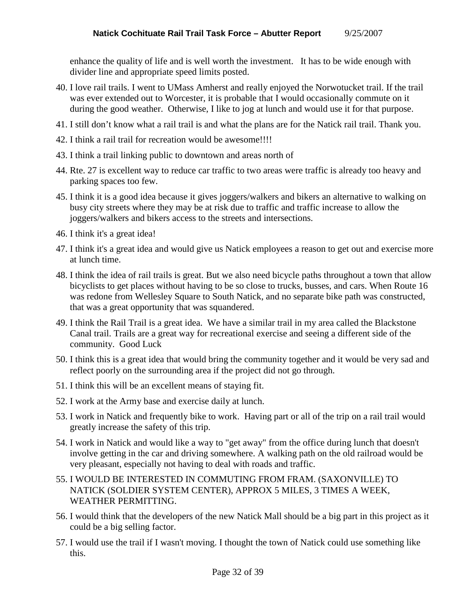enhance the quality of life and is well worth the investment. It has to be wide enough with divider line and appropriate speed limits posted.

- 40. I love rail trails. I went to UMass Amherst and really enjoyed the Norwotucket trail. If the trail was ever extended out to Worcester, it is probable that I would occasionally commute on it during the good weather. Otherwise, I like to jog at lunch and would use it for that purpose.
- 41. I still don't know what a rail trail is and what the plans are for the Natick rail trail. Thank you.
- 42. I think a rail trail for recreation would be awesome!!!!
- 43. I think a trail linking public to downtown and areas north of
- 44. Rte. 27 is excellent way to reduce car traffic to two areas were traffic is already too heavy and parking spaces too few.
- 45. I think it is a good idea because it gives joggers/walkers and bikers an alternative to walking on busy city streets where they may be at risk due to traffic and traffic increase to allow the joggers/walkers and bikers access to the streets and intersections.
- 46. I think it's a great idea!
- 47. I think it's a great idea and would give us Natick employees a reason to get out and exercise more at lunch time.
- 48. I think the idea of rail trails is great. But we also need bicycle paths throughout a town that allow bicyclists to get places without having to be so close to trucks, busses, and cars. When Route 16 was redone from Wellesley Square to South Natick, and no separate bike path was constructed, that was a great opportunity that was squandered.
- 49. I think the Rail Trail is a great idea. We have a similar trail in my area called the Blackstone Canal trail. Trails are a great way for recreational exercise and seeing a different side of the community. Good Luck
- 50. I think this is a great idea that would bring the community together and it would be very sad and reflect poorly on the surrounding area if the project did not go through.
- 51. I think this will be an excellent means of staying fit.
- 52. I work at the Army base and exercise daily at lunch.
- 53. I work in Natick and frequently bike to work. Having part or all of the trip on a rail trail would greatly increase the safety of this trip.
- 54. I work in Natick and would like a way to "get away" from the office during lunch that doesn't involve getting in the car and driving somewhere. A walking path on the old railroad would be very pleasant, especially not having to deal with roads and traffic.
- 55. I WOULD BE INTERESTED IN COMMUTING FROM FRAM. (SAXONVILLE) TO NATICK (SOLDIER SYSTEM CENTER), APPROX 5 MILES, 3 TIMES A WEEK, WEATHER PERMITTING.
- 56. I would think that the developers of the new Natick Mall should be a big part in this project as it could be a big selling factor.
- 57. I would use the trail if I wasn't moving. I thought the town of Natick could use something like this.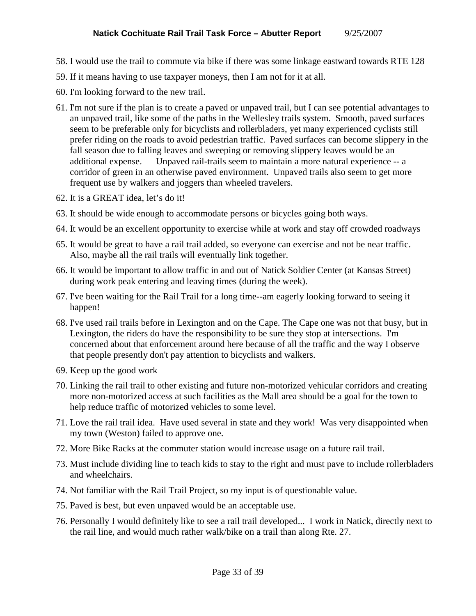- 58. I would use the trail to commute via bike if there was some linkage eastward towards RTE 128
- 59. If it means having to use taxpayer moneys, then I am not for it at all.
- 60. I'm looking forward to the new trail.
- 61. I'm not sure if the plan is to create a paved or unpaved trail, but I can see potential advantages to an unpaved trail, like some of the paths in the Wellesley trails system. Smooth, paved surfaces seem to be preferable only for bicyclists and rollerbladers, yet many experienced cyclists still prefer riding on the roads to avoid pedestrian traffic. Paved surfaces can become slippery in the fall season due to falling leaves and sweeping or removing slippery leaves would be an additional expense. Unpaved rail-trails seem to maintain a more natural experience -- a corridor of green in an otherwise paved environment. Unpaved trails also seem to get more frequent use by walkers and joggers than wheeled travelers.
- 62. It is a GREAT idea, let's do it!
- 63. It should be wide enough to accommodate persons or bicycles going both ways.
- 64. It would be an excellent opportunity to exercise while at work and stay off crowded roadways
- 65. It would be great to have a rail trail added, so everyone can exercise and not be near traffic. Also, maybe all the rail trails will eventually link together.
- 66. It would be important to allow traffic in and out of Natick Soldier Center (at Kansas Street) during work peak entering and leaving times (during the week).
- 67. I've been waiting for the Rail Trail for a long time--am eagerly looking forward to seeing it happen!
- 68. I've used rail trails before in Lexington and on the Cape. The Cape one was not that busy, but in Lexington, the riders do have the responsibility to be sure they stop at intersections. I'm concerned about that enforcement around here because of all the traffic and the way I observe that people presently don't pay attention to bicyclists and walkers.
- 69. Keep up the good work
- 70. Linking the rail trail to other existing and future non-motorized vehicular corridors and creating more non-motorized access at such facilities as the Mall area should be a goal for the town to help reduce traffic of motorized vehicles to some level.
- 71. Love the rail trail idea. Have used several in state and they work! Was very disappointed when my town (Weston) failed to approve one.
- 72. More Bike Racks at the commuter station would increase usage on a future rail trail.
- 73. Must include dividing line to teach kids to stay to the right and must pave to include rollerbladers and wheelchairs.
- 74. Not familiar with the Rail Trail Project, so my input is of questionable value.
- 75. Paved is best, but even unpaved would be an acceptable use.
- 76. Personally I would definitely like to see a rail trail developed... I work in Natick, directly next to the rail line, and would much rather walk/bike on a trail than along Rte. 27.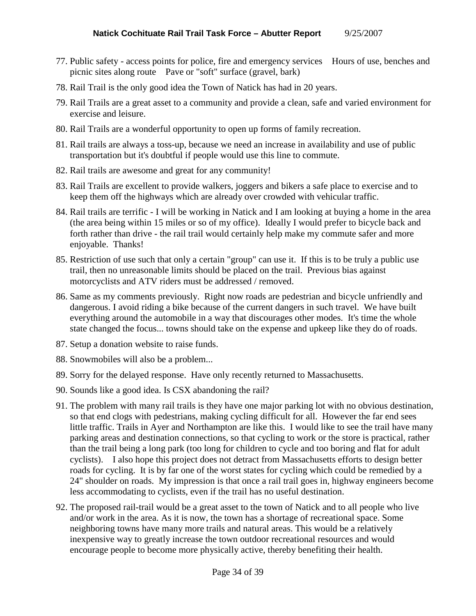- 77. Public safety access points for police, fire and emergency services Hours of use, benches and picnic sites along route Pave or "soft" surface (gravel, bark)
- 78. Rail Trail is the only good idea the Town of Natick has had in 20 years.
- 79. Rail Trails are a great asset to a community and provide a clean, safe and varied environment for exercise and leisure.
- 80. Rail Trails are a wonderful opportunity to open up forms of family recreation.
- 81. Rail trails are always a toss-up, because we need an increase in availability and use of public transportation but it's doubtful if people would use this line to commute.
- 82. Rail trails are awesome and great for any community!
- 83. Rail Trails are excellent to provide walkers, joggers and bikers a safe place to exercise and to keep them off the highways which are already over crowded with vehicular traffic.
- 84. Rail trails are terrific I will be working in Natick and I am looking at buying a home in the area (the area being within 15 miles or so of my office). Ideally I would prefer to bicycle back and forth rather than drive - the rail trail would certainly help make my commute safer and more enjoyable. Thanks!
- 85. Restriction of use such that only a certain "group" can use it. If this is to be truly a public use trail, then no unreasonable limits should be placed on the trail. Previous bias against motorcyclists and ATV riders must be addressed / removed.
- 86. Same as my comments previously. Right now roads are pedestrian and bicycle unfriendly and dangerous. I avoid riding a bike because of the current dangers in such travel. We have built everything around the automobile in a way that discourages other modes. It's time the whole state changed the focus... towns should take on the expense and upkeep like they do of roads.
- 87. Setup a donation website to raise funds.
- 88. Snowmobiles will also be a problem...
- 89. Sorry for the delayed response. Have only recently returned to Massachusetts.
- 90. Sounds like a good idea. Is CSX abandoning the rail?
- 91. The problem with many rail trails is they have one major parking lot with no obvious destination, so that end clogs with pedestrians, making cycling difficult for all. However the far end sees little traffic. Trails in Ayer and Northampton are like this. I would like to see the trail have many parking areas and destination connections, so that cycling to work or the store is practical, rather than the trail being a long park (too long for children to cycle and too boring and flat for adult cyclists). I also hope this project does not detract from Massachusetts efforts to design better roads for cycling. It is by far one of the worst states for cycling which could be remedied by a 24" shoulder on roads. My impression is that once a rail trail goes in, highway engineers become less accommodating to cyclists, even if the trail has no useful destination.
- 92. The proposed rail-trail would be a great asset to the town of Natick and to all people who live and/or work in the area. As it is now, the town has a shortage of recreational space. Some neighboring towns have many more trails and natural areas. This would be a relatively inexpensive way to greatly increase the town outdoor recreational resources and would encourage people to become more physically active, thereby benefiting their health.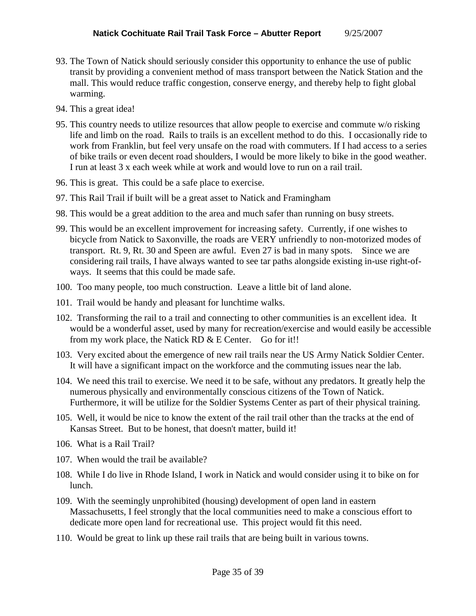- 93. The Town of Natick should seriously consider this opportunity to enhance the use of public transit by providing a convenient method of mass transport between the Natick Station and the mall. This would reduce traffic congestion, conserve energy, and thereby help to fight global warming.
- 94. This a great idea!
- 95. This country needs to utilize resources that allow people to exercise and commute w/o risking life and limb on the road. Rails to trails is an excellent method to do this. I occasionally ride to work from Franklin, but feel very unsafe on the road with commuters. If I had access to a series of bike trails or even decent road shoulders, I would be more likely to bike in the good weather. I run at least 3 x each week while at work and would love to run on a rail trail.
- 96. This is great. This could be a safe place to exercise.
- 97. This Rail Trail if built will be a great asset to Natick and Framingham
- 98. This would be a great addition to the area and much safer than running on busy streets.
- 99. This would be an excellent improvement for increasing safety. Currently, if one wishes to bicycle from Natick to Saxonville, the roads are VERY unfriendly to non-motorized modes of transport. Rt. 9, Rt. 30 and Speen are awful. Even 27 is bad in many spots. Since we are considering rail trails, I have always wanted to see tar paths alongside existing in-use right-ofways. It seems that this could be made safe.
- 100. Too many people, too much construction. Leave a little bit of land alone.
- 101. Trail would be handy and pleasant for lunchtime walks.
- 102. Transforming the rail to a trail and connecting to other communities is an excellent idea. It would be a wonderful asset, used by many for recreation/exercise and would easily be accessible from my work place, the Natick RD & E Center. Go for it!!
- 103. Very excited about the emergence of new rail trails near the US Army Natick Soldier Center. It will have a significant impact on the workforce and the commuting issues near the lab.
- 104. We need this trail to exercise. We need it to be safe, without any predators. It greatly help the numerous physically and environmentally conscious citizens of the Town of Natick. Furthermore, it will be utilize for the Soldier Systems Center as part of their physical training.
- 105. Well, it would be nice to know the extent of the rail trail other than the tracks at the end of Kansas Street. But to be honest, that doesn't matter, build it!
- 106. What is a Rail Trail?
- 107. When would the trail be available?
- 108. While I do live in Rhode Island, I work in Natick and would consider using it to bike on for lunch.
- 109. With the seemingly unprohibited (housing) development of open land in eastern Massachusetts, I feel strongly that the local communities need to make a conscious effort to dedicate more open land for recreational use. This project would fit this need.
- 110. Would be great to link up these rail trails that are being built in various towns.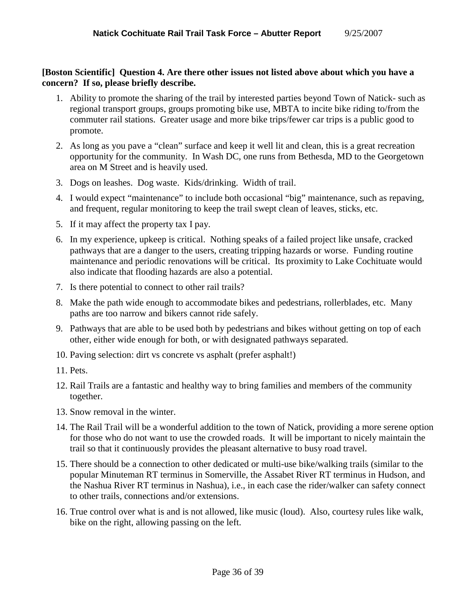## **[Boston Scientific] Question 4. Are there other issues not listed above about which you have a concern? If so, please briefly describe.**

- 1. Ability to promote the sharing of the trail by interested parties beyond Town of Natick- such as regional transport groups, groups promoting bike use, MBTA to incite bike riding to/from the commuter rail stations. Greater usage and more bike trips/fewer car trips is a public good to promote.
- 2. As long as you pave a "clean" surface and keep it well lit and clean, this is a great recreation opportunity for the community. In Wash DC, one runs from Bethesda, MD to the Georgetown area on M Street and is heavily used.
- 3. Dogs on leashes. Dog waste. Kids/drinking. Width of trail.
- 4. I would expect "maintenance" to include both occasional "big" maintenance, such as repaving, and frequent, regular monitoring to keep the trail swept clean of leaves, sticks, etc.
- 5. If it may affect the property tax I pay.
- 6. In my experience, upkeep is critical. Nothing speaks of a failed project like unsafe, cracked pathways that are a danger to the users, creating tripping hazards or worse. Funding routine maintenance and periodic renovations will be critical. Its proximity to Lake Cochituate would also indicate that flooding hazards are also a potential.
- 7. Is there potential to connect to other rail trails?
- 8. Make the path wide enough to accommodate bikes and pedestrians, rollerblades, etc. Many paths are too narrow and bikers cannot ride safely.
- 9. Pathways that are able to be used both by pedestrians and bikes without getting on top of each other, either wide enough for both, or with designated pathways separated.
- 10. Paving selection: dirt vs concrete vs asphalt (prefer asphalt!)
- 11. Pets.
- 12. Rail Trails are a fantastic and healthy way to bring families and members of the community together.
- 13. Snow removal in the winter.
- 14. The Rail Trail will be a wonderful addition to the town of Natick, providing a more serene option for those who do not want to use the crowded roads. It will be important to nicely maintain the trail so that it continuously provides the pleasant alternative to busy road travel.
- 15. There should be a connection to other dedicated or multi-use bike/walking trails (similar to the popular Minuteman RT terminus in Somerville, the Assabet River RT terminus in Hudson, and the Nashua River RT terminus in Nashua), i.e., in each case the rider/walker can safety connect to other trails, connections and/or extensions.
- 16. True control over what is and is not allowed, like music (loud). Also, courtesy rules like walk, bike on the right, allowing passing on the left.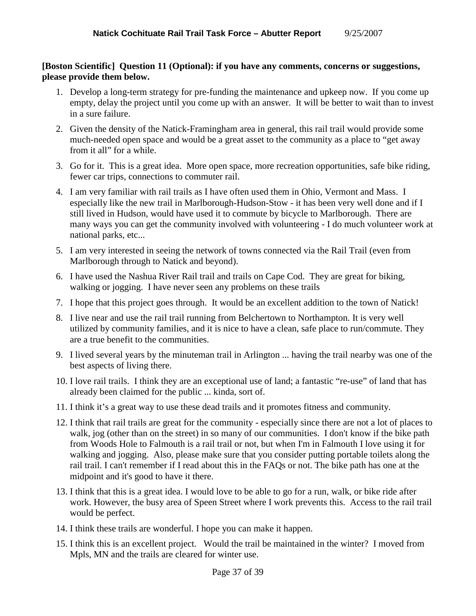#### **[Boston Scientific] Question 11 (Optional): if you have any comments, concerns or suggestions, please provide them below.**

- 1. Develop a long-term strategy for pre-funding the maintenance and upkeep now. If you come up empty, delay the project until you come up with an answer. It will be better to wait than to invest in a sure failure.
- 2. Given the density of the Natick-Framingham area in general, this rail trail would provide some much-needed open space and would be a great asset to the community as a place to "get away from it all" for a while.
- 3. Go for it. This is a great idea. More open space, more recreation opportunities, safe bike riding, fewer car trips, connections to commuter rail.
- 4. I am very familiar with rail trails as I have often used them in Ohio, Vermont and Mass. I especially like the new trail in Marlborough-Hudson-Stow - it has been very well done and if I still lived in Hudson, would have used it to commute by bicycle to Marlborough. There are many ways you can get the community involved with volunteering - I do much volunteer work at national parks, etc...
- 5. I am very interested in seeing the network of towns connected via the Rail Trail (even from Marlborough through to Natick and beyond).
- 6. I have used the Nashua River Rail trail and trails on Cape Cod. They are great for biking, walking or jogging. I have never seen any problems on these trails
- 7. I hope that this project goes through. It would be an excellent addition to the town of Natick!
- 8. I live near and use the rail trail running from Belchertown to Northampton. It is very well utilized by community families, and it is nice to have a clean, safe place to run/commute. They are a true benefit to the communities.
- 9. I lived several years by the minuteman trail in Arlington ... having the trail nearby was one of the best aspects of living there.
- 10. I love rail trails. I think they are an exceptional use of land; a fantastic "re-use" of land that has already been claimed for the public ... kinda, sort of.
- 11. I think it's a great way to use these dead trails and it promotes fitness and community.
- 12. I think that rail trails are great for the community especially since there are not a lot of places to walk, jog (other than on the street) in so many of our communities. I don't know if the bike path from Woods Hole to Falmouth is a rail trail or not, but when I'm in Falmouth I love using it for walking and jogging. Also, please make sure that you consider putting portable toilets along the rail trail. I can't remember if I read about this in the FAQs or not. The bike path has one at the midpoint and it's good to have it there.
- 13. I think that this is a great idea. I would love to be able to go for a run, walk, or bike ride after work. However, the busy area of Speen Street where I work prevents this. Access to the rail trail would be perfect.
- 14. I think these trails are wonderful. I hope you can make it happen.
- 15. I think this is an excellent project. Would the trail be maintained in the winter? I moved from Mpls, MN and the trails are cleared for winter use.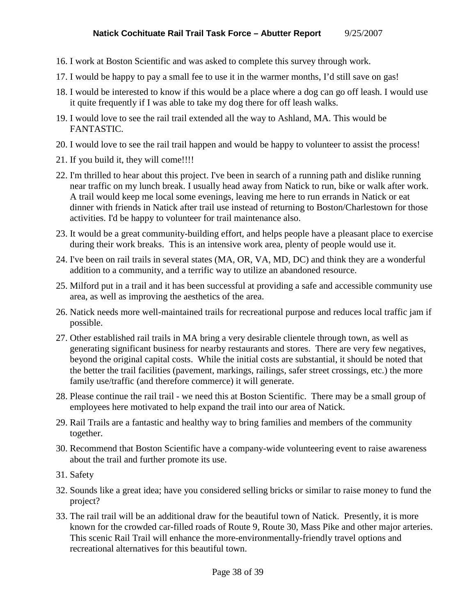- 16. I work at Boston Scientific and was asked to complete this survey through work.
- 17. I would be happy to pay a small fee to use it in the warmer months, I'd still save on gas!
- 18. I would be interested to know if this would be a place where a dog can go off leash. I would use it quite frequently if I was able to take my dog there for off leash walks.
- 19. I would love to see the rail trail extended all the way to Ashland, MA. This would be FANTASTIC.
- 20. I would love to see the rail trail happen and would be happy to volunteer to assist the process!
- 21. If you build it, they will come!!!!
- 22. I'm thrilled to hear about this project. I've been in search of a running path and dislike running near traffic on my lunch break. I usually head away from Natick to run, bike or walk after work. A trail would keep me local some evenings, leaving me here to run errands in Natick or eat dinner with friends in Natick after trail use instead of returning to Boston/Charlestown for those activities. I'd be happy to volunteer for trail maintenance also.
- 23. It would be a great community-building effort, and helps people have a pleasant place to exercise during their work breaks. This is an intensive work area, plenty of people would use it.
- 24. I've been on rail trails in several states (MA, OR, VA, MD, DC) and think they are a wonderful addition to a community, and a terrific way to utilize an abandoned resource.
- 25. Milford put in a trail and it has been successful at providing a safe and accessible community use area, as well as improving the aesthetics of the area.
- 26. Natick needs more well-maintained trails for recreational purpose and reduces local traffic jam if possible.
- 27. Other established rail trails in MA bring a very desirable clientele through town, as well as generating significant business for nearby restaurants and stores. There are very few negatives, beyond the original capital costs. While the initial costs are substantial, it should be noted that the better the trail facilities (pavement, markings, railings, safer street crossings, etc.) the more family use/traffic (and therefore commerce) it will generate.
- 28. Please continue the rail trail we need this at Boston Scientific. There may be a small group of employees here motivated to help expand the trail into our area of Natick.
- 29. Rail Trails are a fantastic and healthy way to bring families and members of the community together.
- 30. Recommend that Boston Scientific have a company-wide volunteering event to raise awareness about the trail and further promote its use.
- 31. Safety
- 32. Sounds like a great idea; have you considered selling bricks or similar to raise money to fund the project?
- 33. The rail trail will be an additional draw for the beautiful town of Natick. Presently, it is more known for the crowded car-filled roads of Route 9, Route 30, Mass Pike and other major arteries. This scenic Rail Trail will enhance the more-environmentally-friendly travel options and recreational alternatives for this beautiful town.